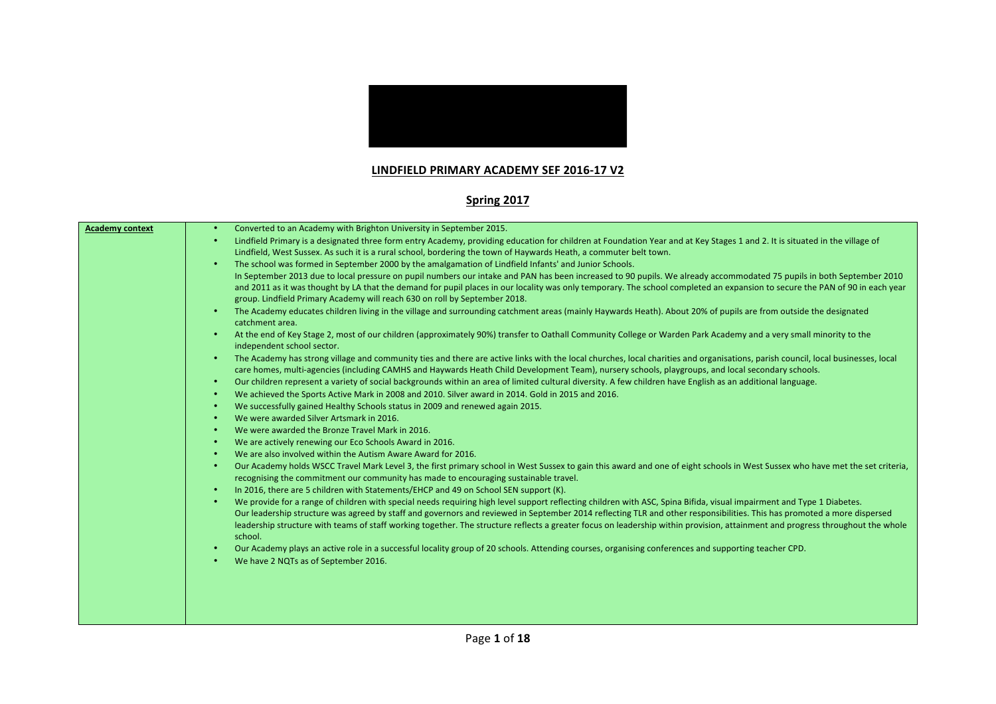

## **LINDFIELD PRIMARY ACADEMY SEF 2016-17 V2**

## **Spring 2017**

| Converted to an Academy with Brighton University in September 2015.                                                                                                                                                                                                                                                                                                                                                                                                                                                                                        |
|------------------------------------------------------------------------------------------------------------------------------------------------------------------------------------------------------------------------------------------------------------------------------------------------------------------------------------------------------------------------------------------------------------------------------------------------------------------------------------------------------------------------------------------------------------|
| Lindfield Primary is a designated three form entry Academy, providing education for children at Foundation Year and at Key Stages 1 and 2. It is situated in the village of<br>Lindfield, West Sussex. As such it is a rural school, bordering the town of Haywards Heath, a commuter belt town.                                                                                                                                                                                                                                                           |
| The school was formed in September 2000 by the amalgamation of Lindfield Infants' and Junior Schools.<br>$\bullet$                                                                                                                                                                                                                                                                                                                                                                                                                                         |
| In September 2013 due to local pressure on pupil numbers our intake and PAN has been increased to 90 pupils. We already accommodated 75 pupils in both September 2010<br>and 2011 as it was thought by LA that the demand for pupil places in our locality was only temporary. The school completed an expansion to secure the PAN of 90 in each year<br>group. Lindfield Primary Academy will reach 630 on roll by September 2018.                                                                                                                        |
| The Academy educates children living in the village and surrounding catchment areas (mainly Haywards Heath). About 20% of pupils are from outside the designated<br>$\bullet$<br>catchment area.                                                                                                                                                                                                                                                                                                                                                           |
| At the end of Key Stage 2, most of our children (approximately 90%) transfer to Oathall Community College or Warden Park Academy and a very small minority to the<br>independent school sector.                                                                                                                                                                                                                                                                                                                                                            |
| The Academy has strong village and community ties and there are active links with the local churches, local charities and organisations, parish council, local businesses, local<br>$\bullet$<br>care homes, multi-agencies (including CAMHS and Haywards Heath Child Development Team), nursery schools, playgroups, and local secondary schools.                                                                                                                                                                                                         |
| Our children represent a variety of social backgrounds within an area of limited cultural diversity. A few children have English as an additional language.<br>$\bullet$                                                                                                                                                                                                                                                                                                                                                                                   |
| We achieved the Sports Active Mark in 2008 and 2010. Silver award in 2014. Gold in 2015 and 2016.<br>$\bullet$                                                                                                                                                                                                                                                                                                                                                                                                                                             |
| We successfully gained Healthy Schools status in 2009 and renewed again 2015.<br>$\bullet$                                                                                                                                                                                                                                                                                                                                                                                                                                                                 |
| We were awarded Silver Artsmark in 2016.<br>$\bullet$                                                                                                                                                                                                                                                                                                                                                                                                                                                                                                      |
| We were awarded the Bronze Travel Mark in 2016.<br>$\bullet$                                                                                                                                                                                                                                                                                                                                                                                                                                                                                               |
| We are actively renewing our Eco Schools Award in 2016.<br>$\bullet$                                                                                                                                                                                                                                                                                                                                                                                                                                                                                       |
| We are also involved within the Autism Aware Award for 2016.<br>$\bullet$                                                                                                                                                                                                                                                                                                                                                                                                                                                                                  |
| Our Academy holds WSCC Travel Mark Level 3, the first primary school in West Sussex to gain this award and one of eight schools in West Sussex who have met the set criteria,<br>$\bullet$<br>recognising the commitment our community has made to encouraging sustainable travel.                                                                                                                                                                                                                                                                         |
| In 2016, there are 5 children with Statements/EHCP and 49 on School SEN support (K).<br>$\bullet$                                                                                                                                                                                                                                                                                                                                                                                                                                                          |
| We provide for a range of children with special needs requiring high level support reflecting children with ASC, Spina Bifida, visual impairment and Type 1 Diabetes.<br>$\bullet$<br>Our leadership structure was agreed by staff and governors and reviewed in September 2014 reflecting TLR and other responsibilities. This has promoted a more dispersed<br>leadership structure with teams of staff working together. The structure reflects a greater focus on leadership within provision, attainment and progress throughout the whole<br>school. |
| Our Academy plays an active role in a successful locality group of 20 schools. Attending courses, organising conferences and supporting teacher CPD.<br>$\bullet$                                                                                                                                                                                                                                                                                                                                                                                          |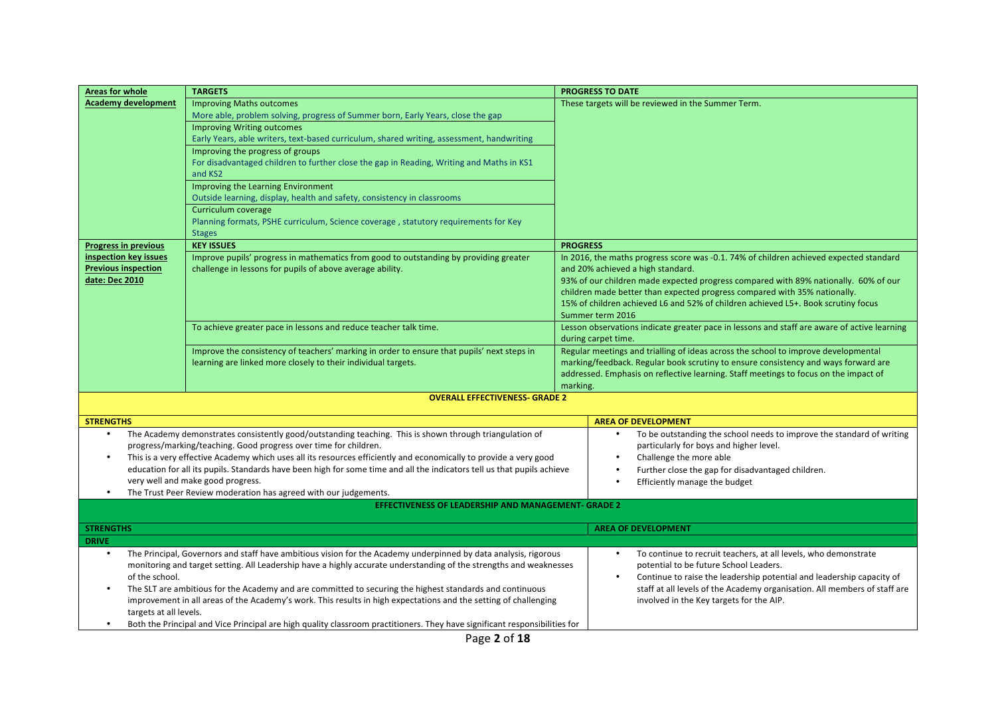| <b>Areas for whole</b>                       | <b>TARGETS</b>                                                                                                                 |                 | <b>PROGRESS TO DATE</b>                                                                                                                                          |
|----------------------------------------------|--------------------------------------------------------------------------------------------------------------------------------|-----------------|------------------------------------------------------------------------------------------------------------------------------------------------------------------|
| Academy development                          | <b>Improving Maths outcomes</b>                                                                                                |                 | These targets will be reviewed in the Summer Term.                                                                                                               |
|                                              | More able, problem solving, progress of Summer born, Early Years, close the gap                                                |                 |                                                                                                                                                                  |
|                                              | <b>Improving Writing outcomes</b>                                                                                              |                 |                                                                                                                                                                  |
|                                              | Early Years, able writers, text-based curriculum, shared writing, assessment, handwriting                                      |                 |                                                                                                                                                                  |
|                                              | Improving the progress of groups                                                                                               |                 |                                                                                                                                                                  |
|                                              | For disadvantaged children to further close the gap in Reading, Writing and Maths in KS1<br>and KS2                            |                 |                                                                                                                                                                  |
|                                              | Improving the Learning Environment                                                                                             |                 |                                                                                                                                                                  |
|                                              | Outside learning, display, health and safety, consistency in classrooms                                                        |                 |                                                                                                                                                                  |
|                                              | Curriculum coverage                                                                                                            |                 |                                                                                                                                                                  |
|                                              | Planning formats, PSHE curriculum, Science coverage, statutory requirements for Key                                            |                 |                                                                                                                                                                  |
|                                              | <b>Stages</b>                                                                                                                  |                 |                                                                                                                                                                  |
| <b>Progress in previous</b>                  | <b>KEY ISSUES</b>                                                                                                              | <b>PROGRESS</b> |                                                                                                                                                                  |
| inspection key issues                        | Improve pupils' progress in mathematics from good to outstanding by providing greater                                          |                 | In 2016, the maths progress score was -0.1. 74% of children achieved expected standard                                                                           |
| <b>Previous inspection</b><br>date: Dec 2010 | challenge in lessons for pupils of above average ability.                                                                      |                 | and 20% achieved a high standard.                                                                                                                                |
|                                              |                                                                                                                                |                 | 93% of our children made expected progress compared with 89% nationally. 60% of our<br>children made better than expected progress compared with 35% nationally. |
|                                              |                                                                                                                                |                 | 15% of children achieved L6 and 52% of children achieved L5+. Book scrutiny focus                                                                                |
|                                              |                                                                                                                                |                 | Summer term 2016                                                                                                                                                 |
|                                              | To achieve greater pace in lessons and reduce teacher talk time.                                                               |                 | Lesson observations indicate greater pace in lessons and staff are aware of active learning                                                                      |
|                                              |                                                                                                                                |                 | during carpet time.                                                                                                                                              |
|                                              | Improve the consistency of teachers' marking in order to ensure that pupils' next steps in                                     |                 | Regular meetings and trialling of ideas across the school to improve developmental                                                                               |
|                                              | learning are linked more closely to their individual targets.                                                                  |                 | marking/feedback. Regular book scrutiny to ensure consistency and ways forward are                                                                               |
|                                              |                                                                                                                                |                 | addressed. Emphasis on reflective learning. Staff meetings to focus on the impact of                                                                             |
|                                              |                                                                                                                                | marking.        |                                                                                                                                                                  |
|                                              | <b>OVERALL EFFECTIVENESS- GRADE 2</b>                                                                                          |                 |                                                                                                                                                                  |
| <b>STRENGTHS</b>                             |                                                                                                                                |                 | <b>AREA OF DEVELOPMENT</b>                                                                                                                                       |
|                                              | The Academy demonstrates consistently good/outstanding teaching. This is shown through triangulation of                        |                 | To be outstanding the school needs to improve the standard of writing                                                                                            |
|                                              | progress/marking/teaching. Good progress over time for children.                                                               |                 | particularly for boys and higher level.                                                                                                                          |
|                                              | This is a very effective Academy which uses all its resources efficiently and economically to provide a very good              |                 | Challenge the more able                                                                                                                                          |
|                                              | education for all its pupils. Standards have been high for some time and all the indicators tell us that pupils achieve        |                 | Further close the gap for disadvantaged children.                                                                                                                |
|                                              | very well and make good progress.                                                                                              |                 | Efficiently manage the budget                                                                                                                                    |
|                                              | The Trust Peer Review moderation has agreed with our judgements.<br><b>EFFECTIVENESS OF LEADERSHIP AND MANAGEMENT- GRADE 2</b> |                 |                                                                                                                                                                  |
|                                              |                                                                                                                                |                 |                                                                                                                                                                  |
| <b>STRENGTHS</b>                             |                                                                                                                                |                 | <b>AREA OF DEVELOPMENT</b>                                                                                                                                       |
| <b>DRIVE</b>                                 |                                                                                                                                |                 |                                                                                                                                                                  |
|                                              | The Principal, Governors and staff have ambitious vision for the Academy underpinned by data analysis, rigorous                |                 | To continue to recruit teachers, at all levels, who demonstrate<br>$\bullet$                                                                                     |
|                                              | monitoring and target setting. All Leadership have a highly accurate understanding of the strengths and weaknesses             |                 | potential to be future School Leaders.                                                                                                                           |
| of the school.                               |                                                                                                                                |                 | Continue to raise the leadership potential and leadership capacity of<br>$\bullet$                                                                               |
|                                              | The SLT are ambitious for the Academy and are committed to securing the highest standards and continuous                       |                 | staff at all levels of the Academy organisation. All members of staff are                                                                                        |
|                                              | improvement in all areas of the Academy's work. This results in high expectations and the setting of challenging               |                 | involved in the Key targets for the AIP.                                                                                                                         |
| targets at all levels.                       |                                                                                                                                |                 |                                                                                                                                                                  |
|                                              | Both the Principal and Vice Principal are high quality classroom practitioners. They have significant responsibilities for     |                 |                                                                                                                                                                  |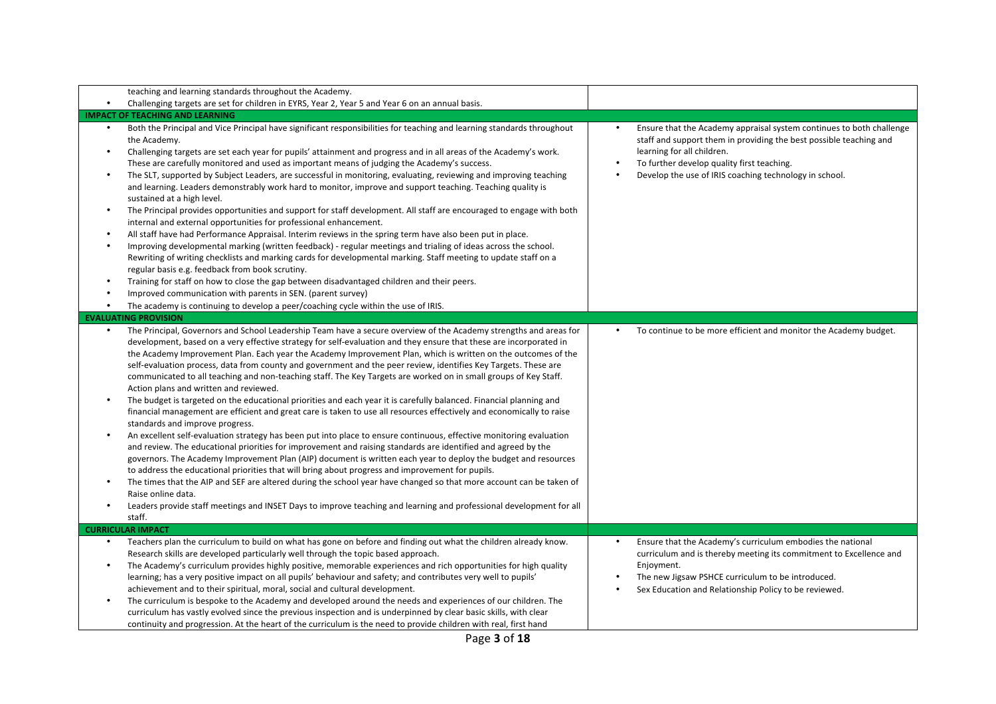| teaching and learning standards throughout the Academy.                                                                                                                                                                                                                                                                                                                                                                                                                                                                                                                                                                                                                                                                                                                                                                                                                                                                                                                                                                                                                                                                                                                                                                                                                                                                                                                                                                                                                                                                                                                                                                              |                                                                                       |                                                                                                                                                                                                                                                                          |
|--------------------------------------------------------------------------------------------------------------------------------------------------------------------------------------------------------------------------------------------------------------------------------------------------------------------------------------------------------------------------------------------------------------------------------------------------------------------------------------------------------------------------------------------------------------------------------------------------------------------------------------------------------------------------------------------------------------------------------------------------------------------------------------------------------------------------------------------------------------------------------------------------------------------------------------------------------------------------------------------------------------------------------------------------------------------------------------------------------------------------------------------------------------------------------------------------------------------------------------------------------------------------------------------------------------------------------------------------------------------------------------------------------------------------------------------------------------------------------------------------------------------------------------------------------------------------------------------------------------------------------------|---------------------------------------------------------------------------------------|--------------------------------------------------------------------------------------------------------------------------------------------------------------------------------------------------------------------------------------------------------------------------|
| Challenging targets are set for children in EYRS, Year 2, Year 5 and Year 6 on an annual basis.<br>$\bullet$                                                                                                                                                                                                                                                                                                                                                                                                                                                                                                                                                                                                                                                                                                                                                                                                                                                                                                                                                                                                                                                                                                                                                                                                                                                                                                                                                                                                                                                                                                                         |                                                                                       |                                                                                                                                                                                                                                                                          |
| <b>IMPACT OF TEACHING AND LEARNING</b>                                                                                                                                                                                                                                                                                                                                                                                                                                                                                                                                                                                                                                                                                                                                                                                                                                                                                                                                                                                                                                                                                                                                                                                                                                                                                                                                                                                                                                                                                                                                                                                               |                                                                                       |                                                                                                                                                                                                                                                                          |
| Both the Principal and Vice Principal have significant responsibilities for teaching and learning standards throughout<br>the Academy.<br>Challenging targets are set each year for pupils' attainment and progress and in all areas of the Academy's work.<br>These are carefully monitored and used as important means of judging the Academy's success.<br>The SLT, supported by Subject Leaders, are successful in monitoring, evaluating, reviewing and improving teaching<br>and learning. Leaders demonstrably work hard to monitor, improve and support teaching. Teaching quality is<br>sustained at a high level.<br>The Principal provides opportunities and support for staff development. All staff are encouraged to engage with both<br>internal and external opportunities for professional enhancement.<br>All staff have had Performance Appraisal. Interim reviews in the spring term have also been put in place.<br>Improving developmental marking (written feedback) - regular meetings and trialing of ideas across the school.<br>Rewriting of writing checklists and marking cards for developmental marking. Staff meeting to update staff on a<br>regular basis e.g. feedback from book scrutiny.<br>Training for staff on how to close the gap between disadvantaged children and their peers.<br>Improved communication with parents in SEN. (parent survey)<br>The academy is continuing to develop a peer/coaching cycle within the use of IRIS.<br><b>EVALUATING PROVISION</b><br>The Principal, Governors and School Leadership Team have a secure overview of the Academy strengths and areas for | learning for all children.<br>To further develop quality first teaching.<br>$\bullet$ | Ensure that the Academy appraisal system continues to both challenge<br>staff and support them in providing the best possible teaching and<br>Develop the use of IRIS coaching technology in school.<br>To continue to be more efficient and monitor the Academy budget. |
| development, based on a very effective strategy for self-evaluation and they ensure that these are incorporated in<br>the Academy Improvement Plan. Each year the Academy Improvement Plan, which is written on the outcomes of the<br>self-evaluation process, data from county and government and the peer review, identifies Key Targets. These are<br>communicated to all teaching and non-teaching staff. The Key Targets are worked on in small groups of Key Staff.<br>Action plans and written and reviewed.<br>The budget is targeted on the educational priorities and each year it is carefully balanced. Financial planning and<br>financial management are efficient and great care is taken to use all resources effectively and economically to raise<br>standards and improve progress.<br>An excellent self-evaluation strategy has been put into place to ensure continuous, effective monitoring evaluation<br>and review. The educational priorities for improvement and raising standards are identified and agreed by the<br>governors. The Academy Improvement Plan (AIP) document is written each year to deploy the budget and resources<br>to address the educational priorities that will bring about progress and improvement for pupils.<br>The times that the AIP and SEF are altered during the school year have changed so that more account can be taken of<br>$\bullet$<br>Raise online data.<br>Leaders provide staff meetings and INSET Days to improve teaching and learning and professional development for all<br>$\bullet$<br>staff.                                                        |                                                                                       |                                                                                                                                                                                                                                                                          |
| <b>CURRICULAR IMPACT</b>                                                                                                                                                                                                                                                                                                                                                                                                                                                                                                                                                                                                                                                                                                                                                                                                                                                                                                                                                                                                                                                                                                                                                                                                                                                                                                                                                                                                                                                                                                                                                                                                             |                                                                                       |                                                                                                                                                                                                                                                                          |
| Teachers plan the curriculum to build on what has gone on before and finding out what the children already know.<br>$\bullet$<br>Research skills are developed particularly well through the topic based approach.<br>The Academy's curriculum provides highly positive, memorable experiences and rich opportunities for high quality<br>learning; has a very positive impact on all pupils' behaviour and safety; and contributes very well to pupils'<br>achievement and to their spiritual, moral, social and cultural development.<br>The curriculum is bespoke to the Academy and developed around the needs and experiences of our children. The<br>$\bullet$<br>curriculum has vastly evolved since the previous inspection and is underpinned by clear basic skills, with clear<br>continuity and progression. At the heart of the curriculum is the need to provide children with real, first hand                                                                                                                                                                                                                                                                                                                                                                                                                                                                                                                                                                                                                                                                                                                         | Enjoyment.                                                                            | Ensure that the Academy's curriculum embodies the national<br>curriculum and is thereby meeting its commitment to Excellence and<br>The new Jigsaw PSHCE curriculum to be introduced.<br>Sex Education and Relationship Policy to be reviewed.                           |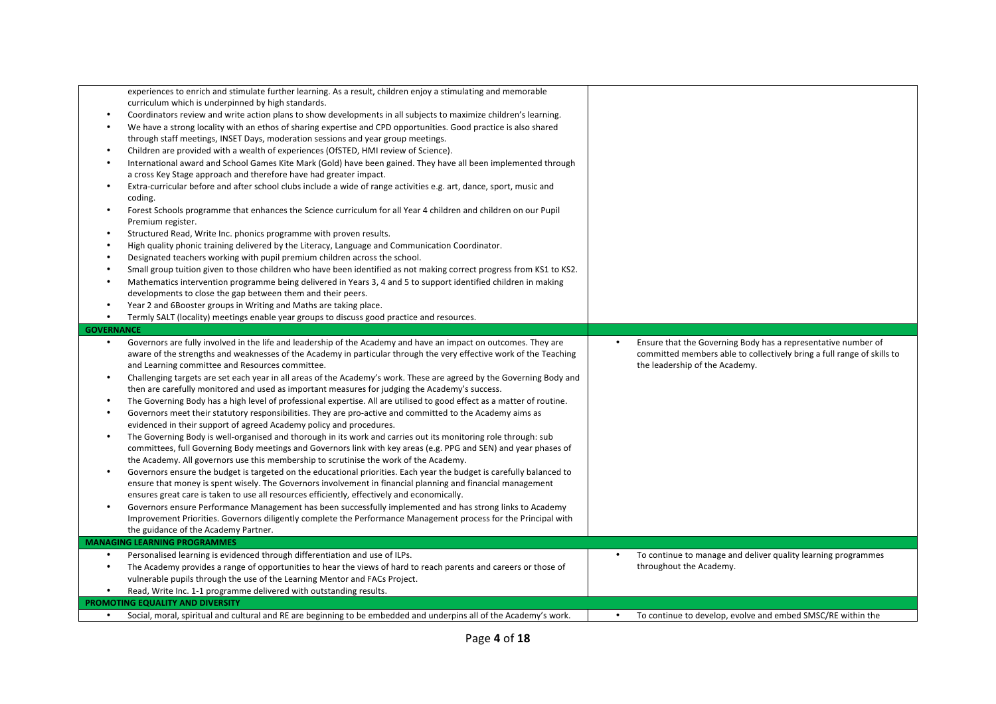| $\bullet$<br>$\bullet$<br>$\bullet$<br>$\bullet$<br>$\bullet$<br>$\bullet$ | experiences to enrich and stimulate further learning. As a result, children enjoy a stimulating and memorable<br>curriculum which is underpinned by high standards.<br>Coordinators review and write action plans to show developments in all subjects to maximize children's learning.<br>We have a strong locality with an ethos of sharing expertise and CPD opportunities. Good practice is also shared<br>through staff meetings, INSET Days, moderation sessions and year group meetings.<br>Children are provided with a wealth of experiences (OfSTED, HMI review of Science).<br>International award and School Games Kite Mark (Gold) have been gained. They have all been implemented through<br>a cross Key Stage approach and therefore have had greater impact.<br>Extra-curricular before and after school clubs include a wide of range activities e.g. art, dance, sport, music and<br>coding.<br>Forest Schools programme that enhances the Science curriculum for all Year 4 children and children on our Pupil<br>Premium register.<br>Structured Read, Write Inc. phonics programme with proven results.<br>High quality phonic training delivered by the Literacy, Language and Communication Coordinator.<br>Designated teachers working with pupil premium children across the school.<br>Small group tuition given to those children who have been identified as not making correct progress from KS1 to KS2.<br>Mathematics intervention programme being delivered in Years 3, 4 and 5 to support identified children in making<br>developments to close the gap between them and their peers.<br>Year 2 and 6Booster groups in Writing and Maths are taking place.<br>Termly SALT (locality) meetings enable year groups to discuss good practice and resources. |                                                                                                                                                                           |
|----------------------------------------------------------------------------|---------------------------------------------------------------------------------------------------------------------------------------------------------------------------------------------------------------------------------------------------------------------------------------------------------------------------------------------------------------------------------------------------------------------------------------------------------------------------------------------------------------------------------------------------------------------------------------------------------------------------------------------------------------------------------------------------------------------------------------------------------------------------------------------------------------------------------------------------------------------------------------------------------------------------------------------------------------------------------------------------------------------------------------------------------------------------------------------------------------------------------------------------------------------------------------------------------------------------------------------------------------------------------------------------------------------------------------------------------------------------------------------------------------------------------------------------------------------------------------------------------------------------------------------------------------------------------------------------------------------------------------------------------------------------------------------------------------------------------------------------------------------------------------------|---------------------------------------------------------------------------------------------------------------------------------------------------------------------------|
| <b>GOVERNANCE</b>                                                          |                                                                                                                                                                                                                                                                                                                                                                                                                                                                                                                                                                                                                                                                                                                                                                                                                                                                                                                                                                                                                                                                                                                                                                                                                                                                                                                                                                                                                                                                                                                                                                                                                                                                                                                                                                                             |                                                                                                                                                                           |
| $\bullet$<br>$\bullet$                                                     | Governors are fully involved in the life and leadership of the Academy and have an impact on outcomes. They are<br>aware of the strengths and weaknesses of the Academy in particular through the very effective work of the Teaching<br>and Learning committee and Resources committee.<br>Challenging targets are set each year in all areas of the Academy's work. These are agreed by the Governing Body and<br>then are carefully monitored and used as important measures for judging the Academy's success.<br>The Governing Body has a high level of professional expertise. All are utilised to good effect as a matter of routine.<br>Governors meet their statutory responsibilities. They are pro-active and committed to the Academy aims as<br>evidenced in their support of agreed Academy policy and procedures.                                                                                                                                                                                                                                                                                                                                                                                                                                                                                                                                                                                                                                                                                                                                                                                                                                                                                                                                                            | Ensure that the Governing Body has a representative number of<br>committed members able to collectively bring a full range of skills to<br>the leadership of the Academy. |
| $\bullet$<br>$\bullet$<br>$\bullet$                                        | The Governing Body is well-organised and thorough in its work and carries out its monitoring role through: sub<br>committees, full Governing Body meetings and Governors link with key areas (e.g. PPG and SEN) and year phases of<br>the Academy. All governors use this membership to scrutinise the work of the Academy.<br>Governors ensure the budget is targeted on the educational priorities. Each year the budget is carefully balanced to<br>ensure that money is spent wisely. The Governors involvement in financial planning and financial management<br>ensures great care is taken to use all resources efficiently, effectively and economically.<br>Governors ensure Performance Management has been successfully implemented and has strong links to Academy<br>Improvement Priorities. Governors diligently complete the Performance Management process for the Principal with                                                                                                                                                                                                                                                                                                                                                                                                                                                                                                                                                                                                                                                                                                                                                                                                                                                                                           |                                                                                                                                                                           |
|                                                                            | the guidance of the Academy Partner.<br><b>MANAGING LEARNING PROGRAMMES</b>                                                                                                                                                                                                                                                                                                                                                                                                                                                                                                                                                                                                                                                                                                                                                                                                                                                                                                                                                                                                                                                                                                                                                                                                                                                                                                                                                                                                                                                                                                                                                                                                                                                                                                                 |                                                                                                                                                                           |
| $\bullet$                                                                  | Personalised learning is evidenced through differentiation and use of ILPs.                                                                                                                                                                                                                                                                                                                                                                                                                                                                                                                                                                                                                                                                                                                                                                                                                                                                                                                                                                                                                                                                                                                                                                                                                                                                                                                                                                                                                                                                                                                                                                                                                                                                                                                 | To continue to manage and deliver quality learning programmes<br>$\bullet$                                                                                                |
| $\bullet$                                                                  | The Academy provides a range of opportunities to hear the views of hard to reach parents and careers or those of<br>vulnerable pupils through the use of the Learning Mentor and FACs Project.                                                                                                                                                                                                                                                                                                                                                                                                                                                                                                                                                                                                                                                                                                                                                                                                                                                                                                                                                                                                                                                                                                                                                                                                                                                                                                                                                                                                                                                                                                                                                                                              | throughout the Academy.                                                                                                                                                   |
|                                                                            | Read, Write Inc. 1-1 programme delivered with outstanding results.                                                                                                                                                                                                                                                                                                                                                                                                                                                                                                                                                                                                                                                                                                                                                                                                                                                                                                                                                                                                                                                                                                                                                                                                                                                                                                                                                                                                                                                                                                                                                                                                                                                                                                                          |                                                                                                                                                                           |
| $\bullet$                                                                  | PROMOTING EQUALITY AND DIVERSITY<br>Social, moral, spiritual and cultural and RE are beginning to be embedded and underpins all of the Academy's work.                                                                                                                                                                                                                                                                                                                                                                                                                                                                                                                                                                                                                                                                                                                                                                                                                                                                                                                                                                                                                                                                                                                                                                                                                                                                                                                                                                                                                                                                                                                                                                                                                                      | To continue to develop, evolve and embed SMSC/RE within the                                                                                                               |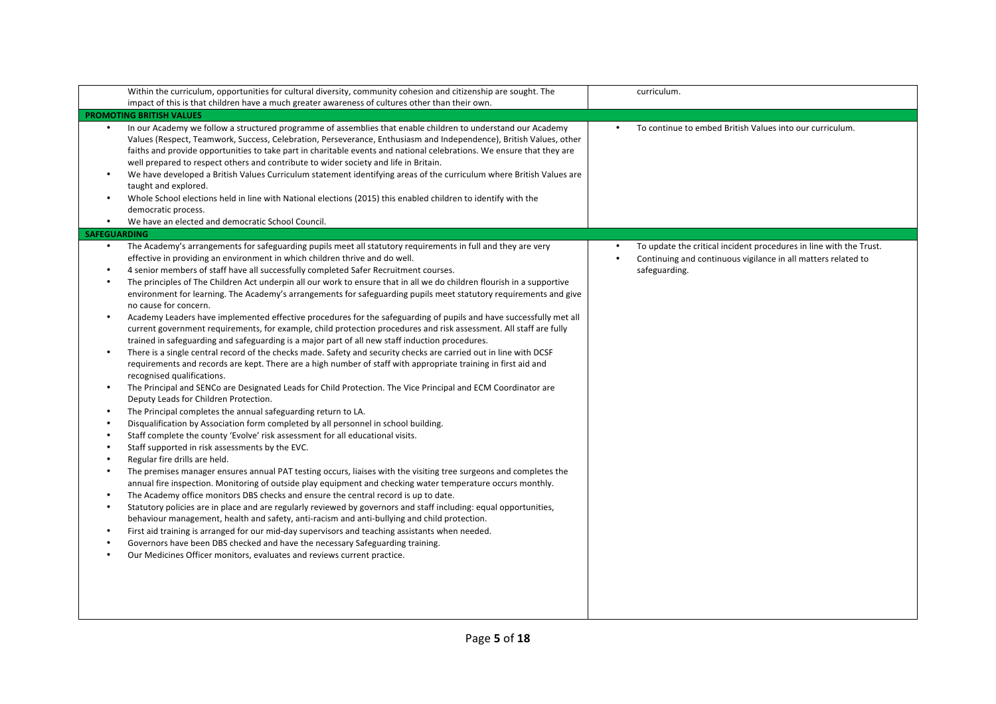| Within the curriculum, opportunities for cultural diversity, community cohesion and citizenship are sought. The<br>impact of this is that children have a much greater awareness of cultures other than their own.                                                                                                                                                                                                                                                                                                                                                                                                                                                                                                                                                                                                                                                                                                                                                                                                                                                                                                                                                                                                                                                                                                                                                                                                                                                                                                                                                                                                                                                                                                                                                                                                                                                                                                                                                                                                                                                                                                                                                                                                                                                                                                                                                                                                                                                                                                                                                                                          | curriculum.                                                                                                                                          |
|-------------------------------------------------------------------------------------------------------------------------------------------------------------------------------------------------------------------------------------------------------------------------------------------------------------------------------------------------------------------------------------------------------------------------------------------------------------------------------------------------------------------------------------------------------------------------------------------------------------------------------------------------------------------------------------------------------------------------------------------------------------------------------------------------------------------------------------------------------------------------------------------------------------------------------------------------------------------------------------------------------------------------------------------------------------------------------------------------------------------------------------------------------------------------------------------------------------------------------------------------------------------------------------------------------------------------------------------------------------------------------------------------------------------------------------------------------------------------------------------------------------------------------------------------------------------------------------------------------------------------------------------------------------------------------------------------------------------------------------------------------------------------------------------------------------------------------------------------------------------------------------------------------------------------------------------------------------------------------------------------------------------------------------------------------------------------------------------------------------------------------------------------------------------------------------------------------------------------------------------------------------------------------------------------------------------------------------------------------------------------------------------------------------------------------------------------------------------------------------------------------------------------------------------------------------------------------------------------------------|------------------------------------------------------------------------------------------------------------------------------------------------------|
| <b>PROMOTING BRITISH VALUES</b>                                                                                                                                                                                                                                                                                                                                                                                                                                                                                                                                                                                                                                                                                                                                                                                                                                                                                                                                                                                                                                                                                                                                                                                                                                                                                                                                                                                                                                                                                                                                                                                                                                                                                                                                                                                                                                                                                                                                                                                                                                                                                                                                                                                                                                                                                                                                                                                                                                                                                                                                                                             |                                                                                                                                                      |
| In our Academy we follow a structured programme of assemblies that enable children to understand our Academy<br>Values (Respect, Teamwork, Success, Celebration, Perseverance, Enthusiasm and Independence), British Values, other<br>faiths and provide opportunities to take part in charitable events and national celebrations. We ensure that they are<br>well prepared to respect others and contribute to wider society and life in Britain.<br>We have developed a British Values Curriculum statement identifying areas of the curriculum where British Values are<br>$\bullet$<br>taught and explored.<br>Whole School elections held in line with National elections (2015) this enabled children to identify with the<br>$\bullet$<br>democratic process.<br>We have an elected and democratic School Council.<br>$\bullet$                                                                                                                                                                                                                                                                                                                                                                                                                                                                                                                                                                                                                                                                                                                                                                                                                                                                                                                                                                                                                                                                                                                                                                                                                                                                                                                                                                                                                                                                                                                                                                                                                                                                                                                                                                     | To continue to embed British Values into our curriculum.                                                                                             |
| <b>SAFEGUARDING</b>                                                                                                                                                                                                                                                                                                                                                                                                                                                                                                                                                                                                                                                                                                                                                                                                                                                                                                                                                                                                                                                                                                                                                                                                                                                                                                                                                                                                                                                                                                                                                                                                                                                                                                                                                                                                                                                                                                                                                                                                                                                                                                                                                                                                                                                                                                                                                                                                                                                                                                                                                                                         |                                                                                                                                                      |
| The Academy's arrangements for safeguarding pupils meet all statutory requirements in full and they are very<br>$\bullet$<br>effective in providing an environment in which children thrive and do well.<br>4 senior members of staff have all successfully completed Safer Recruitment courses.<br>The principles of The Children Act underpin all our work to ensure that in all we do children flourish in a supportive<br>environment for learning. The Academy's arrangements for safeguarding pupils meet statutory requirements and give<br>no cause for concern.<br>Academy Leaders have implemented effective procedures for the safeguarding of pupils and have successfully met all<br>$\bullet$<br>current government requirements, for example, child protection procedures and risk assessment. All staff are fully<br>trained in safeguarding and safeguarding is a major part of all new staff induction procedures.<br>There is a single central record of the checks made. Safety and security checks are carried out in line with DCSF<br>$\bullet$<br>requirements and records are kept. There are a high number of staff with appropriate training in first aid and<br>recognised qualifications.<br>The Principal and SENCo are Designated Leads for Child Protection. The Vice Principal and ECM Coordinator are<br>$\bullet$<br>Deputy Leads for Children Protection.<br>The Principal completes the annual safeguarding return to LA.<br>Disqualification by Association form completed by all personnel in school building.<br>$\bullet$<br>Staff complete the county 'Evolve' risk assessment for all educational visits.<br>Staff supported in risk assessments by the EVC.<br>Regular fire drills are held.<br>The premises manager ensures annual PAT testing occurs, liaises with the visiting tree surgeons and completes the<br>annual fire inspection. Monitoring of outside play equipment and checking water temperature occurs monthly.<br>The Academy office monitors DBS checks and ensure the central record is up to date.<br>$\bullet$<br>Statutory policies are in place and are regularly reviewed by governors and staff including: equal opportunities,<br>$\bullet$<br>behaviour management, health and safety, anti-racism and anti-bullying and child protection.<br>First aid training is arranged for our mid-day supervisors and teaching assistants when needed.<br>$\bullet$<br>Governors have been DBS checked and have the necessary Safeguarding training.<br>Our Medicines Officer monitors, evaluates and reviews current practice.<br>$\bullet$ | To update the critical incident procedures in line with the Trust.<br>Continuing and continuous vigilance in all matters related to<br>safeguarding. |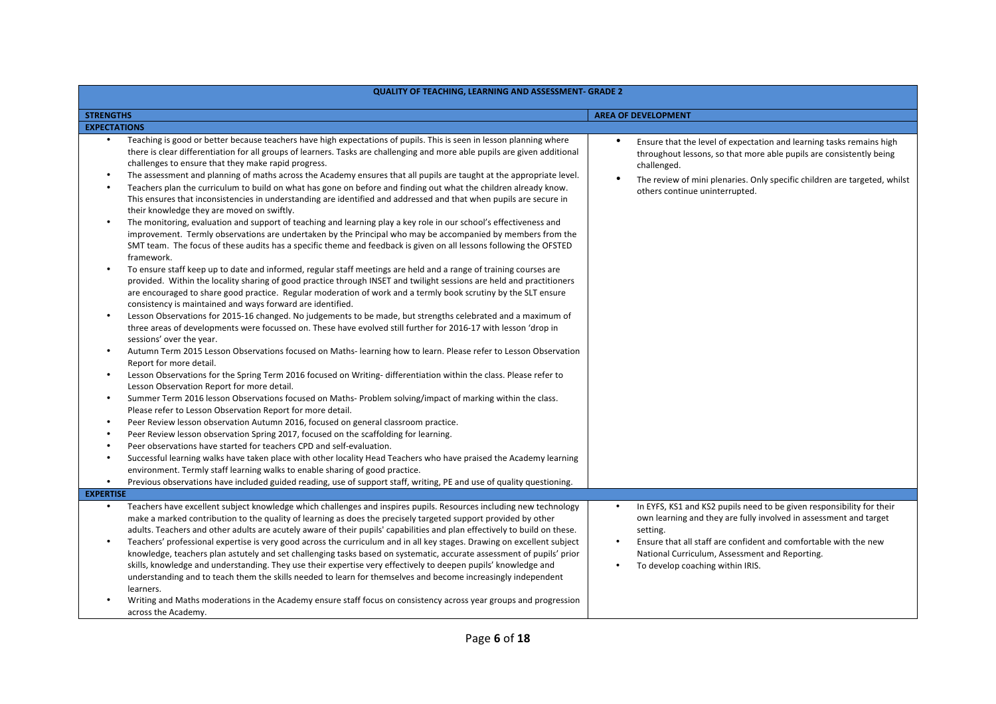| QUALITY OF TEACHING, LEARNING AND ASSESSMENT- GRADE 2                      |                                                                                                                                                                                                                                                                                                                                                                                                                                                                                                                                                                                                                                                                                                                                                                                                                                                                                                                                                                                                                                                                                                                                                                                                                                                                                                                                                                                                                                                                                                                                                                                                                                                                                                                                                                                                                                                                                                                                                                                                                                                                                                                                                                                                                                                                                                                                                                                                                                                                                                                                                                                                                                                                                                                                                                                                                                                                                  |                                                                                                                                                                                                                                                                                                                               |  |  |
|----------------------------------------------------------------------------|----------------------------------------------------------------------------------------------------------------------------------------------------------------------------------------------------------------------------------------------------------------------------------------------------------------------------------------------------------------------------------------------------------------------------------------------------------------------------------------------------------------------------------------------------------------------------------------------------------------------------------------------------------------------------------------------------------------------------------------------------------------------------------------------------------------------------------------------------------------------------------------------------------------------------------------------------------------------------------------------------------------------------------------------------------------------------------------------------------------------------------------------------------------------------------------------------------------------------------------------------------------------------------------------------------------------------------------------------------------------------------------------------------------------------------------------------------------------------------------------------------------------------------------------------------------------------------------------------------------------------------------------------------------------------------------------------------------------------------------------------------------------------------------------------------------------------------------------------------------------------------------------------------------------------------------------------------------------------------------------------------------------------------------------------------------------------------------------------------------------------------------------------------------------------------------------------------------------------------------------------------------------------------------------------------------------------------------------------------------------------------------------------------------------------------------------------------------------------------------------------------------------------------------------------------------------------------------------------------------------------------------------------------------------------------------------------------------------------------------------------------------------------------------------------------------------------------------------------------------------------------|-------------------------------------------------------------------------------------------------------------------------------------------------------------------------------------------------------------------------------------------------------------------------------------------------------------------------------|--|--|
| <b>STRENGTHS</b>                                                           |                                                                                                                                                                                                                                                                                                                                                                                                                                                                                                                                                                                                                                                                                                                                                                                                                                                                                                                                                                                                                                                                                                                                                                                                                                                                                                                                                                                                                                                                                                                                                                                                                                                                                                                                                                                                                                                                                                                                                                                                                                                                                                                                                                                                                                                                                                                                                                                                                                                                                                                                                                                                                                                                                                                                                                                                                                                                                  | <b>AREA OF DEVELOPMENT</b>                                                                                                                                                                                                                                                                                                    |  |  |
| <b>EXPECTATIONS</b>                                                        |                                                                                                                                                                                                                                                                                                                                                                                                                                                                                                                                                                                                                                                                                                                                                                                                                                                                                                                                                                                                                                                                                                                                                                                                                                                                                                                                                                                                                                                                                                                                                                                                                                                                                                                                                                                                                                                                                                                                                                                                                                                                                                                                                                                                                                                                                                                                                                                                                                                                                                                                                                                                                                                                                                                                                                                                                                                                                  |                                                                                                                                                                                                                                                                                                                               |  |  |
| $\bullet$<br>$\bullet$<br>$\bullet$<br>$\bullet$<br>$\bullet$<br>$\bullet$ | Teaching is good or better because teachers have high expectations of pupils. This is seen in lesson planning where<br>there is clear differentiation for all groups of learners. Tasks are challenging and more able pupils are given additional<br>challenges to ensure that they make rapid progress.<br>The assessment and planning of maths across the Academy ensures that all pupils are taught at the appropriate level.<br>Teachers plan the curriculum to build on what has gone on before and finding out what the children already know.<br>This ensures that inconsistencies in understanding are identified and addressed and that when pupils are secure in<br>their knowledge they are moved on swiftly.<br>The monitoring, evaluation and support of teaching and learning play a key role in our school's effectiveness and<br>improvement. Termly observations are undertaken by the Principal who may be accompanied by members from the<br>SMT team. The focus of these audits has a specific theme and feedback is given on all lessons following the OFSTED<br>framework.<br>To ensure staff keep up to date and informed, regular staff meetings are held and a range of training courses are<br>provided. Within the locality sharing of good practice through INSET and twilight sessions are held and practitioners<br>are encouraged to share good practice. Regular moderation of work and a termly book scrutiny by the SLT ensure<br>consistency is maintained and ways forward are identified.<br>Lesson Observations for 2015-16 changed. No judgements to be made, but strengths celebrated and a maximum of<br>three areas of developments were focussed on. These have evolved still further for 2016-17 with lesson 'drop in<br>sessions' over the year.<br>Autumn Term 2015 Lesson Observations focused on Maths- learning how to learn. Please refer to Lesson Observation<br>Report for more detail.<br>Lesson Observations for the Spring Term 2016 focused on Writing- differentiation within the class. Please refer to<br>Lesson Observation Report for more detail.<br>Summer Term 2016 lesson Observations focused on Maths-Problem solving/impact of marking within the class.<br>Please refer to Lesson Observation Report for more detail.<br>Peer Review lesson observation Autumn 2016, focused on general classroom practice.<br>Peer Review lesson observation Spring 2017, focused on the scaffolding for learning.<br>Peer observations have started for teachers CPD and self-evaluation.<br>Successful learning walks have taken place with other locality Head Teachers who have praised the Academy learning<br>environment. Termly staff learning walks to enable sharing of good practice.<br>Previous observations have included guided reading, use of support staff, writing, PE and use of quality questioning. | ٠<br>Ensure that the level of expectation and learning tasks remains high<br>throughout lessons, so that more able pupils are consistently being<br>challenged.<br>$\bullet$<br>The review of mini plenaries. Only specific children are targeted, whilst<br>others continue uninterrupted.                                   |  |  |
|                                                                            |                                                                                                                                                                                                                                                                                                                                                                                                                                                                                                                                                                                                                                                                                                                                                                                                                                                                                                                                                                                                                                                                                                                                                                                                                                                                                                                                                                                                                                                                                                                                                                                                                                                                                                                                                                                                                                                                                                                                                                                                                                                                                                                                                                                                                                                                                                                                                                                                                                                                                                                                                                                                                                                                                                                                                                                                                                                                                  |                                                                                                                                                                                                                                                                                                                               |  |  |
| <b>EXPERTISE</b><br>$\bullet$                                              |                                                                                                                                                                                                                                                                                                                                                                                                                                                                                                                                                                                                                                                                                                                                                                                                                                                                                                                                                                                                                                                                                                                                                                                                                                                                                                                                                                                                                                                                                                                                                                                                                                                                                                                                                                                                                                                                                                                                                                                                                                                                                                                                                                                                                                                                                                                                                                                                                                                                                                                                                                                                                                                                                                                                                                                                                                                                                  |                                                                                                                                                                                                                                                                                                                               |  |  |
|                                                                            | Teachers have excellent subject knowledge which challenges and inspires pupils. Resources including new technology<br>make a marked contribution to the quality of learning as does the precisely targeted support provided by other<br>adults. Teachers and other adults are acutely aware of their pupils' capabilities and plan effectively to build on these.<br>Teachers' professional expertise is very good across the curriculum and in all key stages. Drawing on excellent subject<br>knowledge, teachers plan astutely and set challenging tasks based on systematic, accurate assessment of pupils' prior<br>skills, knowledge and understanding. They use their expertise very effectively to deepen pupils' knowledge and<br>understanding and to teach them the skills needed to learn for themselves and become increasingly independent<br>learners.<br>Writing and Maths moderations in the Academy ensure staff focus on consistency across year groups and progression<br>across the Academy.                                                                                                                                                                                                                                                                                                                                                                                                                                                                                                                                                                                                                                                                                                                                                                                                                                                                                                                                                                                                                                                                                                                                                                                                                                                                                                                                                                                                                                                                                                                                                                                                                                                                                                                                                                                                                                                                | In EYFS, KS1 and KS2 pupils need to be given responsibility for their<br>own learning and they are fully involved in assessment and target<br>setting.<br>Ensure that all staff are confident and comfortable with the new<br>National Curriculum, Assessment and Reporting.<br>To develop coaching within IRIS.<br>$\bullet$ |  |  |

## **QUALITY OF TEACHING, LEARNING AND ASSESSMENT- GRADE 2**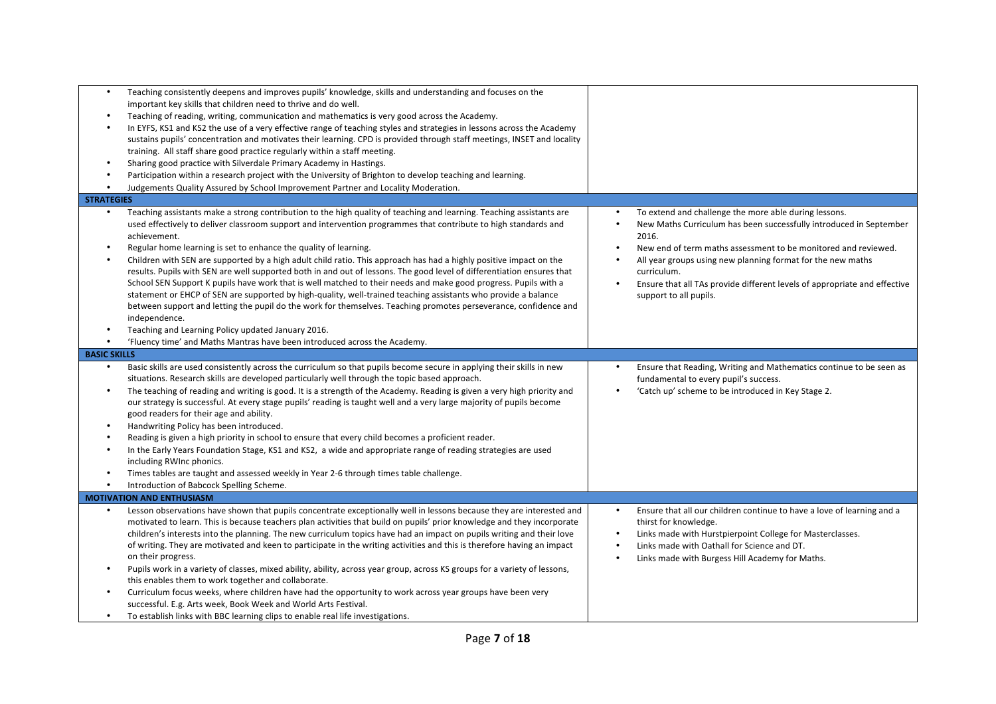| $\bullet$<br>$\bullet$              | Teaching consistently deepens and improves pupils' knowledge, skills and understanding and focuses on the<br>important key skills that children need to thrive and do well.<br>Teaching of reading, writing, communication and mathematics is very good across the Academy.<br>In EYFS, KS1 and KS2 the use of a very effective range of teaching styles and strategies in lessons across the Academy<br>sustains pupils' concentration and motivates their learning. CPD is provided through staff meetings, INSET and locality<br>training. All staff share good practice regularly within a staff meeting.<br>Sharing good practice with Silverdale Primary Academy in Hastings.<br>Participation within a research project with the University of Brighton to develop teaching and learning.<br>Judgements Quality Assured by School Improvement Partner and Locality Moderation.                                                                                           |           |                                                                                                                                                                                                                                                                                                                                                                                             |
|-------------------------------------|---------------------------------------------------------------------------------------------------------------------------------------------------------------------------------------------------------------------------------------------------------------------------------------------------------------------------------------------------------------------------------------------------------------------------------------------------------------------------------------------------------------------------------------------------------------------------------------------------------------------------------------------------------------------------------------------------------------------------------------------------------------------------------------------------------------------------------------------------------------------------------------------------------------------------------------------------------------------------------|-----------|---------------------------------------------------------------------------------------------------------------------------------------------------------------------------------------------------------------------------------------------------------------------------------------------------------------------------------------------------------------------------------------------|
| <b>STRATEGIES</b>                   | Teaching assistants make a strong contribution to the high quality of teaching and learning. Teaching assistants are                                                                                                                                                                                                                                                                                                                                                                                                                                                                                                                                                                                                                                                                                                                                                                                                                                                            |           |                                                                                                                                                                                                                                                                                                                                                                                             |
| $\bullet$                           | used effectively to deliver classroom support and intervention programmes that contribute to high standards and<br>achievement.<br>Regular home learning is set to enhance the quality of learning.<br>Children with SEN are supported by a high adult child ratio. This approach has had a highly positive impact on the<br>results. Pupils with SEN are well supported both in and out of lessons. The good level of differentiation ensures that<br>School SEN Support K pupils have work that is well matched to their needs and make good progress. Pupils with a<br>statement or EHCP of SEN are supported by high-quality, well-trained teaching assistants who provide a balance<br>between support and letting the pupil do the work for themselves. Teaching promotes perseverance, confidence and<br>independence.<br>Teaching and Learning Policy updated January 2016.<br>'Fluency time' and Maths Mantras have been introduced across the Academy.                |           | To extend and challenge the more able during lessons.<br>New Maths Curriculum has been successfully introduced in September<br>2016.<br>New end of term maths assessment to be monitored and reviewed.<br>All year groups using new planning format for the new maths<br>curriculum.<br>Ensure that all TAs provide different levels of appropriate and effective<br>support to all pupils. |
| <b>BASIC SKILLS</b>                 |                                                                                                                                                                                                                                                                                                                                                                                                                                                                                                                                                                                                                                                                                                                                                                                                                                                                                                                                                                                 |           |                                                                                                                                                                                                                                                                                                                                                                                             |
| $\bullet$<br>$\bullet$<br>$\bullet$ | Basic skills are used consistently across the curriculum so that pupils become secure in applying their skills in new<br>situations. Research skills are developed particularly well through the topic based approach.<br>The teaching of reading and writing is good. It is a strength of the Academy. Reading is given a very high priority and<br>our strategy is successful. At every stage pupils' reading is taught well and a very large majority of pupils become<br>good readers for their age and ability.<br>Handwriting Policy has been introduced.<br>Reading is given a high priority in school to ensure that every child becomes a proficient reader.<br>In the Early Years Foundation Stage, KS1 and KS2, a wide and appropriate range of reading strategies are used<br>including RWInc phonics.<br>Times tables are taught and assessed weekly in Year 2-6 through times table challenge.<br>Introduction of Babcock Spelling Scheme.                        |           | Ensure that Reading, Writing and Mathematics continue to be seen as<br>fundamental to every pupil's success.<br>'Catch up' scheme to be introduced in Key Stage 2.                                                                                                                                                                                                                          |
|                                     | <b>MOTIVATION AND ENTHUSIASM</b>                                                                                                                                                                                                                                                                                                                                                                                                                                                                                                                                                                                                                                                                                                                                                                                                                                                                                                                                                |           |                                                                                                                                                                                                                                                                                                                                                                                             |
|                                     | Lesson observations have shown that pupils concentrate exceptionally well in lessons because they are interested and<br>motivated to learn. This is because teachers plan activities that build on pupils' prior knowledge and they incorporate<br>children's interests into the planning. The new curriculum topics have had an impact on pupils writing and their love<br>of writing. They are motivated and keen to participate in the writing activities and this is therefore having an impact<br>on their progress.<br>Pupils work in a variety of classes, mixed ability, ability, across year group, across KS groups for a variety of lessons,<br>this enables them to work together and collaborate.<br>Curriculum focus weeks, where children have had the opportunity to work across year groups have been very<br>successful. E.g. Arts week, Book Week and World Arts Festival.<br>To establish links with BBC learning clips to enable real life investigations. | $\bullet$ | Ensure that all our children continue to have a love of learning and a<br>thirst for knowledge.<br>Links made with Hurstpierpoint College for Masterclasses.<br>Links made with Oathall for Science and DT.<br>Links made with Burgess Hill Academy for Maths.                                                                                                                              |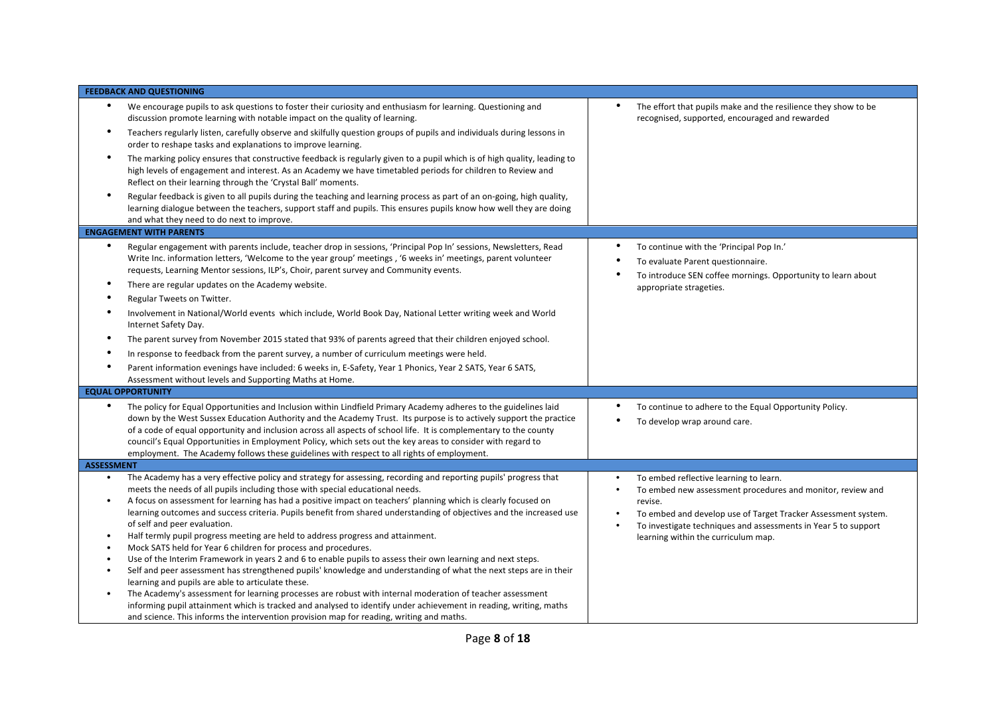| <b>FEEDBACK AND QUESTIONING</b>                                                                                                                                                                                                                                                                                                                                                                                                                                                                                                                                                                                                                                                                                                                                                                                                                                                                                                                                                                                                                                                                                                                                                                                                                                                    |                                                                                                                                                                                                                                                                                                        |
|------------------------------------------------------------------------------------------------------------------------------------------------------------------------------------------------------------------------------------------------------------------------------------------------------------------------------------------------------------------------------------------------------------------------------------------------------------------------------------------------------------------------------------------------------------------------------------------------------------------------------------------------------------------------------------------------------------------------------------------------------------------------------------------------------------------------------------------------------------------------------------------------------------------------------------------------------------------------------------------------------------------------------------------------------------------------------------------------------------------------------------------------------------------------------------------------------------------------------------------------------------------------------------|--------------------------------------------------------------------------------------------------------------------------------------------------------------------------------------------------------------------------------------------------------------------------------------------------------|
| We encourage pupils to ask questions to foster their curiosity and enthusiasm for learning. Questioning and<br>discussion promote learning with notable impact on the quality of learning.<br>Teachers regularly listen, carefully observe and skilfully question groups of pupils and individuals during lessons in<br>order to reshape tasks and explanations to improve learning.<br>The marking policy ensures that constructive feedback is regularly given to a pupil which is of high quality, leading to<br>high levels of engagement and interest. As an Academy we have timetabled periods for children to Review and                                                                                                                                                                                                                                                                                                                                                                                                                                                                                                                                                                                                                                                    | $\bullet$<br>The effort that pupils make and the resilience they show to be<br>recognised, supported, encouraged and rewarded                                                                                                                                                                          |
| Reflect on their learning through the 'Crystal Ball' moments.<br>Regular feedback is given to all pupils during the teaching and learning process as part of an on-going, high quality,<br>learning dialogue between the teachers, support staff and pupils. This ensures pupils know how well they are doing<br>and what they need to do next to improve.                                                                                                                                                                                                                                                                                                                                                                                                                                                                                                                                                                                                                                                                                                                                                                                                                                                                                                                         |                                                                                                                                                                                                                                                                                                        |
| <b>ENGAGEMENT WITH PARENTS</b>                                                                                                                                                                                                                                                                                                                                                                                                                                                                                                                                                                                                                                                                                                                                                                                                                                                                                                                                                                                                                                                                                                                                                                                                                                                     |                                                                                                                                                                                                                                                                                                        |
| $\bullet$<br>Regular engagement with parents include, teacher drop in sessions, 'Principal Pop In' sessions, Newsletters, Read<br>Write Inc. information letters, 'Welcome to the year group' meetings, '6 weeks in' meetings, parent volunteer<br>requests, Learning Mentor sessions, ILP's, Choir, parent survey and Community events.<br>There are regular updates on the Academy website.                                                                                                                                                                                                                                                                                                                                                                                                                                                                                                                                                                                                                                                                                                                                                                                                                                                                                      | To continue with the 'Principal Pop In.'<br>To evaluate Parent questionnaire.<br>To introduce SEN coffee mornings. Opportunity to learn about<br>appropriate strageties.                                                                                                                               |
| Regular Tweets on Twitter.                                                                                                                                                                                                                                                                                                                                                                                                                                                                                                                                                                                                                                                                                                                                                                                                                                                                                                                                                                                                                                                                                                                                                                                                                                                         |                                                                                                                                                                                                                                                                                                        |
| Involvement in National/World events which include, World Book Day, National Letter writing week and World<br>Internet Safety Day.                                                                                                                                                                                                                                                                                                                                                                                                                                                                                                                                                                                                                                                                                                                                                                                                                                                                                                                                                                                                                                                                                                                                                 |                                                                                                                                                                                                                                                                                                        |
| The parent survey from November 2015 stated that 93% of parents agreed that their children enjoyed school.                                                                                                                                                                                                                                                                                                                                                                                                                                                                                                                                                                                                                                                                                                                                                                                                                                                                                                                                                                                                                                                                                                                                                                         |                                                                                                                                                                                                                                                                                                        |
| In response to feedback from the parent survey, a number of curriculum meetings were held.                                                                                                                                                                                                                                                                                                                                                                                                                                                                                                                                                                                                                                                                                                                                                                                                                                                                                                                                                                                                                                                                                                                                                                                         |                                                                                                                                                                                                                                                                                                        |
| Parent information evenings have included: 6 weeks in, E-Safety, Year 1 Phonics, Year 2 SATS, Year 6 SATS,<br>Assessment without levels and Supporting Maths at Home.                                                                                                                                                                                                                                                                                                                                                                                                                                                                                                                                                                                                                                                                                                                                                                                                                                                                                                                                                                                                                                                                                                              |                                                                                                                                                                                                                                                                                                        |
| <b>EQUAL OPPORTUNITY</b>                                                                                                                                                                                                                                                                                                                                                                                                                                                                                                                                                                                                                                                                                                                                                                                                                                                                                                                                                                                                                                                                                                                                                                                                                                                           |                                                                                                                                                                                                                                                                                                        |
| The policy for Equal Opportunities and Inclusion within Lindfield Primary Academy adheres to the guidelines laid<br>down by the West Sussex Education Authority and the Academy Trust. Its purpose is to actively support the practice<br>of a code of equal opportunity and inclusion across all aspects of school life. It is complementary to the county<br>council's Equal Opportunities in Employment Policy, which sets out the key areas to consider with regard to<br>employment. The Academy follows these guidelines with respect to all rights of employment.                                                                                                                                                                                                                                                                                                                                                                                                                                                                                                                                                                                                                                                                                                           | To continue to adhere to the Equal Opportunity Policy.<br>$\bullet$<br>To develop wrap around care.                                                                                                                                                                                                    |
| <b>ASSESSMENT</b>                                                                                                                                                                                                                                                                                                                                                                                                                                                                                                                                                                                                                                                                                                                                                                                                                                                                                                                                                                                                                                                                                                                                                                                                                                                                  |                                                                                                                                                                                                                                                                                                        |
| The Academy has a very effective policy and strategy for assessing, recording and reporting pupils' progress that<br>$\bullet$<br>meets the needs of all pupils including those with special educational needs.<br>A focus on assessment for learning has had a positive impact on teachers' planning which is clearly focused on<br>learning outcomes and success criteria. Pupils benefit from shared understanding of objectives and the increased use<br>of self and peer evaluation.<br>Half termly pupil progress meeting are held to address progress and attainment.<br>$\bullet$<br>Mock SATS held for Year 6 children for process and procedures.<br>Use of the Interim Framework in years 2 and 6 to enable pupils to assess their own learning and next steps.<br>Self and peer assessment has strengthened pupils' knowledge and understanding of what the next steps are in their<br>learning and pupils are able to articulate these.<br>The Academy's assessment for learning processes are robust with internal moderation of teacher assessment<br>informing pupil attainment which is tracked and analysed to identify under achievement in reading, writing, maths<br>and science. This informs the intervention provision map for reading, writing and maths. | To embed reflective learning to learn.<br>$\bullet$<br>To embed new assessment procedures and monitor, review and<br>revise.<br>To embed and develop use of Target Tracker Assessment system.<br>To investigate techniques and assessments in Year 5 to support<br>learning within the curriculum map. |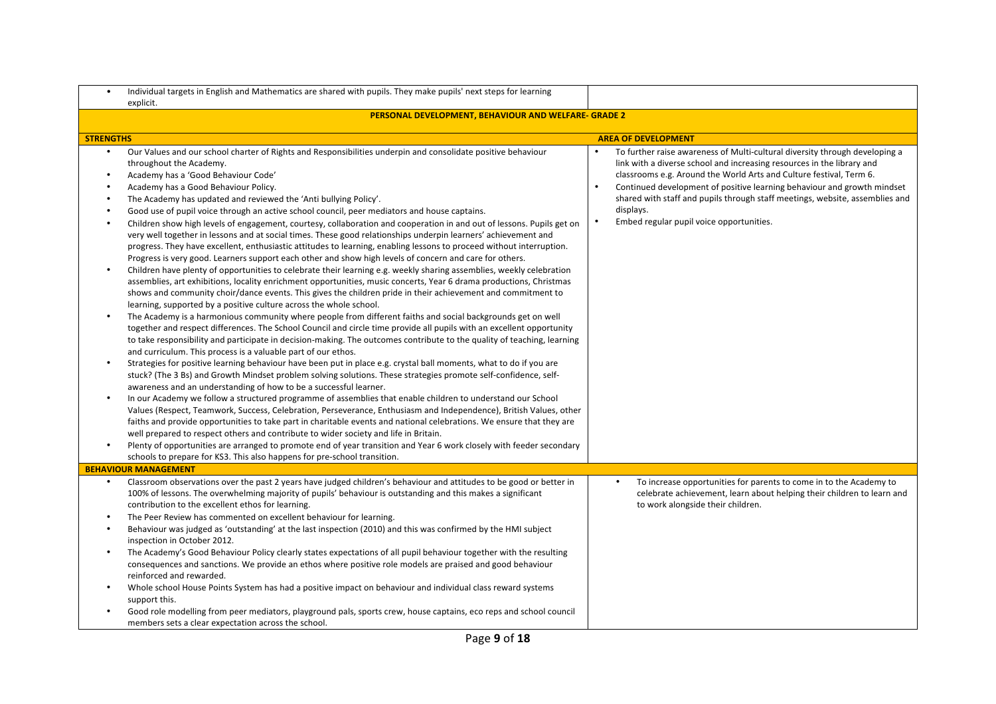|                                                            | Individual targets in English and Mathematics are shared with pupils. They make pupils' next steps for learning<br>explicit.                                                                                                                                                                                                                                                                                                                                                                                                                                                                                                                                                                                                                                                                                                                                                                                                                                                                                                                                                                                                                                                                                                                                                                                                                                                                                                                                                                                                                                                                                                                                                                                                                                                                                                                                                                                                                                                                                                                                                                                                                                                                                                                                                                                                                                                                                                                                                                                                                                                                                                                                                                                              |                                                                                                                                                                                                                                                                                                                                                                                                                                                                            |
|------------------------------------------------------------|---------------------------------------------------------------------------------------------------------------------------------------------------------------------------------------------------------------------------------------------------------------------------------------------------------------------------------------------------------------------------------------------------------------------------------------------------------------------------------------------------------------------------------------------------------------------------------------------------------------------------------------------------------------------------------------------------------------------------------------------------------------------------------------------------------------------------------------------------------------------------------------------------------------------------------------------------------------------------------------------------------------------------------------------------------------------------------------------------------------------------------------------------------------------------------------------------------------------------------------------------------------------------------------------------------------------------------------------------------------------------------------------------------------------------------------------------------------------------------------------------------------------------------------------------------------------------------------------------------------------------------------------------------------------------------------------------------------------------------------------------------------------------------------------------------------------------------------------------------------------------------------------------------------------------------------------------------------------------------------------------------------------------------------------------------------------------------------------------------------------------------------------------------------------------------------------------------------------------------------------------------------------------------------------------------------------------------------------------------------------------------------------------------------------------------------------------------------------------------------------------------------------------------------------------------------------------------------------------------------------------------------------------------------------------------------------------------------------------|----------------------------------------------------------------------------------------------------------------------------------------------------------------------------------------------------------------------------------------------------------------------------------------------------------------------------------------------------------------------------------------------------------------------------------------------------------------------------|
|                                                            | PERSONAL DEVELOPMENT, BEHAVIOUR AND WELFARE- GRADE 2                                                                                                                                                                                                                                                                                                                                                                                                                                                                                                                                                                                                                                                                                                                                                                                                                                                                                                                                                                                                                                                                                                                                                                                                                                                                                                                                                                                                                                                                                                                                                                                                                                                                                                                                                                                                                                                                                                                                                                                                                                                                                                                                                                                                                                                                                                                                                                                                                                                                                                                                                                                                                                                                      |                                                                                                                                                                                                                                                                                                                                                                                                                                                                            |
| <b>STRENGTHS</b>                                           |                                                                                                                                                                                                                                                                                                                                                                                                                                                                                                                                                                                                                                                                                                                                                                                                                                                                                                                                                                                                                                                                                                                                                                                                                                                                                                                                                                                                                                                                                                                                                                                                                                                                                                                                                                                                                                                                                                                                                                                                                                                                                                                                                                                                                                                                                                                                                                                                                                                                                                                                                                                                                                                                                                                           | <b>AREA OF DEVELOPMENT</b>                                                                                                                                                                                                                                                                                                                                                                                                                                                 |
| $\bullet$<br>$\bullet$<br>$\bullet$<br>$\bullet$<br>٠<br>٠ | Our Values and our school charter of Rights and Responsibilities underpin and consolidate positive behaviour<br>throughout the Academy.<br>Academy has a 'Good Behaviour Code'<br>Academy has a Good Behaviour Policy.<br>The Academy has updated and reviewed the 'Anti bullying Policy'.<br>Good use of pupil voice through an active school council, peer mediators and house captains.<br>Children show high levels of engagement, courtesy, collaboration and cooperation in and out of lessons. Pupils get on<br>very well together in lessons and at social times. These good relationships underpin learners' achievement and<br>progress. They have excellent, enthusiastic attitudes to learning, enabling lessons to proceed without interruption.<br>Progress is very good. Learners support each other and show high levels of concern and care for others.<br>Children have plenty of opportunities to celebrate their learning e.g. weekly sharing assemblies, weekly celebration<br>assemblies, art exhibitions, locality enrichment opportunities, music concerts, Year 6 drama productions, Christmas<br>shows and community choir/dance events. This gives the children pride in their achievement and commitment to<br>learning, supported by a positive culture across the whole school.<br>The Academy is a harmonious community where people from different faiths and social backgrounds get on well<br>together and respect differences. The School Council and circle time provide all pupils with an excellent opportunity<br>to take responsibility and participate in decision-making. The outcomes contribute to the quality of teaching, learning<br>and curriculum. This process is a valuable part of our ethos.<br>Strategies for positive learning behaviour have been put in place e.g. crystal ball moments, what to do if you are<br>stuck? (The 3 Bs) and Growth Mindset problem solving solutions. These strategies promote self-confidence, self-<br>awareness and an understanding of how to be a successful learner.<br>In our Academy we follow a structured programme of assemblies that enable children to understand our School<br>Values (Respect, Teamwork, Success, Celebration, Perseverance, Enthusiasm and Independence), British Values, other<br>faiths and provide opportunities to take part in charitable events and national celebrations. We ensure that they are<br>well prepared to respect others and contribute to wider society and life in Britain.<br>Plenty of opportunities are arranged to promote end of year transition and Year 6 work closely with feeder secondary<br>schools to prepare for KS3. This also happens for pre-school transition. | To further raise awareness of Multi-cultural diversity through developing a<br>$\bullet$<br>link with a diverse school and increasing resources in the library and<br>classrooms e.g. Around the World Arts and Culture festival, Term 6.<br>Continued development of positive learning behaviour and growth mindset<br>shared with staff and pupils through staff meetings, website, assemblies and<br>displays.<br>Embed regular pupil voice opportunities.<br>$\bullet$ |
|                                                            | <b>BEHAVIOUR MANAGEMENT</b>                                                                                                                                                                                                                                                                                                                                                                                                                                                                                                                                                                                                                                                                                                                                                                                                                                                                                                                                                                                                                                                                                                                                                                                                                                                                                                                                                                                                                                                                                                                                                                                                                                                                                                                                                                                                                                                                                                                                                                                                                                                                                                                                                                                                                                                                                                                                                                                                                                                                                                                                                                                                                                                                                               |                                                                                                                                                                                                                                                                                                                                                                                                                                                                            |
| $\bullet$<br>٠<br>$\bullet$                                | Classroom observations over the past 2 years have judged children's behaviour and attitudes to be good or better in<br>100% of lessons. The overwhelming majority of pupils' behaviour is outstanding and this makes a significant<br>contribution to the excellent ethos for learning.<br>The Peer Review has commented on excellent behaviour for learning.<br>Behaviour was judged as 'outstanding' at the last inspection (2010) and this was confirmed by the HMI subject<br>inspection in October 2012.<br>The Academy's Good Behaviour Policy clearly states expectations of all pupil behaviour together with the resulting<br>consequences and sanctions. We provide an ethos where positive role models are praised and good behaviour<br>reinforced and rewarded.<br>Whole school House Points System has had a positive impact on behaviour and individual class reward systems<br>support this.<br>Good role modelling from peer mediators, playground pals, sports crew, house captains, eco reps and school council<br>members sets a clear expectation across the school.                                                                                                                                                                                                                                                                                                                                                                                                                                                                                                                                                                                                                                                                                                                                                                                                                                                                                                                                                                                                                                                                                                                                                                                                                                                                                                                                                                                                                                                                                                                                                                                                                                 | To increase opportunities for parents to come in to the Academy to<br>$\bullet$<br>celebrate achievement, learn about helping their children to learn and<br>to work alongside their children.                                                                                                                                                                                                                                                                             |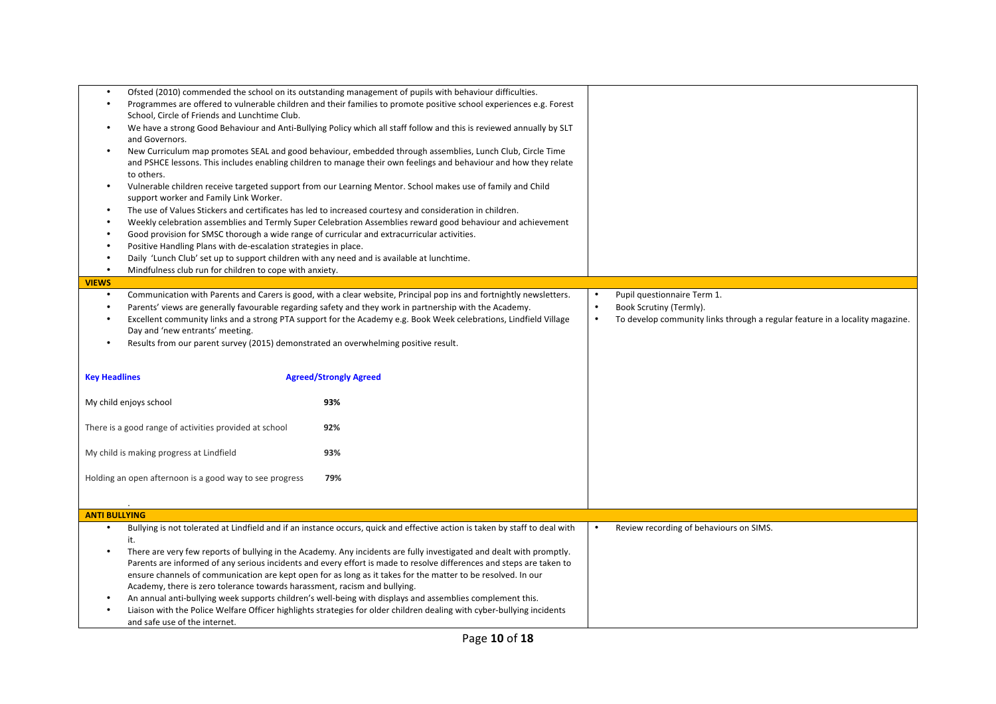| $\bullet$<br>$\bullet$<br>$\bullet$              | School, Circle of Friends and Lunchtime Club.<br>and Governors.<br>to others.                                                                                                                                                                                                                                                                                     | Ofsted (2010) commended the school on its outstanding management of pupils with behaviour difficulties.<br>Programmes are offered to vulnerable children and their families to promote positive school experiences e.g. Forest<br>We have a strong Good Behaviour and Anti-Bullying Policy which all staff follow and this is reviewed annually by SLT<br>New Curriculum map promotes SEAL and good behaviour, embedded through assemblies, Lunch Club, Circle Time<br>and PSHCE lessons. This includes enabling children to manage their own feelings and behaviour and how they relate<br>Vulnerable children receive targeted support from our Learning Mentor. School makes use of family and Child                            |                        |                                                                                                                                        |
|--------------------------------------------------|-------------------------------------------------------------------------------------------------------------------------------------------------------------------------------------------------------------------------------------------------------------------------------------------------------------------------------------------------------------------|------------------------------------------------------------------------------------------------------------------------------------------------------------------------------------------------------------------------------------------------------------------------------------------------------------------------------------------------------------------------------------------------------------------------------------------------------------------------------------------------------------------------------------------------------------------------------------------------------------------------------------------------------------------------------------------------------------------------------------|------------------------|----------------------------------------------------------------------------------------------------------------------------------------|
| $\bullet$<br>$\bullet$<br>$\bullet$<br>$\bullet$ | support worker and Family Link Worker.<br>Good provision for SMSC thorough a wide range of curricular and extracurricular activities.<br>Positive Handling Plans with de-escalation strategies in place.<br>Daily 'Lunch Club' set up to support children with any need and is available at lunchtime.<br>Mindfulness club run for children to cope with anxiety. | The use of Values Stickers and certificates has led to increased courtesy and consideration in children.<br>Weekly celebration assemblies and Termly Super Celebration Assemblies reward good behaviour and achievement                                                                                                                                                                                                                                                                                                                                                                                                                                                                                                            |                        |                                                                                                                                        |
| <b>VIEWS</b>                                     |                                                                                                                                                                                                                                                                                                                                                                   |                                                                                                                                                                                                                                                                                                                                                                                                                                                                                                                                                                                                                                                                                                                                    |                        |                                                                                                                                        |
| $\bullet$<br>$\bullet$<br>$\bullet$              | Day and 'new entrants' meeting.<br>Results from our parent survey (2015) demonstrated an overwhelming positive result.                                                                                                                                                                                                                                            | Communication with Parents and Carers is good, with a clear website, Principal pop ins and fortnightly newsletters.<br>Parents' views are generally favourable regarding safety and they work in partnership with the Academy.<br>Excellent community links and a strong PTA support for the Academy e.g. Book Week celebrations, Lindfield Village                                                                                                                                                                                                                                                                                                                                                                                | $\bullet$<br>$\bullet$ | Pupil questionnaire Term 1.<br>Book Scrutiny (Termly).<br>To develop community links through a regular feature in a locality magazine. |
| <b>Key Headlines</b>                             |                                                                                                                                                                                                                                                                                                                                                                   | <b>Agreed/Strongly Agreed</b>                                                                                                                                                                                                                                                                                                                                                                                                                                                                                                                                                                                                                                                                                                      |                        |                                                                                                                                        |
|                                                  | My child enjoys school                                                                                                                                                                                                                                                                                                                                            | 93%                                                                                                                                                                                                                                                                                                                                                                                                                                                                                                                                                                                                                                                                                                                                |                        |                                                                                                                                        |
|                                                  | There is a good range of activities provided at school                                                                                                                                                                                                                                                                                                            | 92%                                                                                                                                                                                                                                                                                                                                                                                                                                                                                                                                                                                                                                                                                                                                |                        |                                                                                                                                        |
|                                                  | My child is making progress at Lindfield                                                                                                                                                                                                                                                                                                                          | 93%                                                                                                                                                                                                                                                                                                                                                                                                                                                                                                                                                                                                                                                                                                                                |                        |                                                                                                                                        |
|                                                  | Holding an open afternoon is a good way to see progress                                                                                                                                                                                                                                                                                                           | 79%                                                                                                                                                                                                                                                                                                                                                                                                                                                                                                                                                                                                                                                                                                                                |                        |                                                                                                                                        |
| <b>ANTI BULLYING</b>                             |                                                                                                                                                                                                                                                                                                                                                                   |                                                                                                                                                                                                                                                                                                                                                                                                                                                                                                                                                                                                                                                                                                                                    |                        |                                                                                                                                        |
| $\bullet$<br>$\bullet$                           | it.<br>Academy, there is zero tolerance towards harassment, racism and bullying.<br>and safe use of the internet.                                                                                                                                                                                                                                                 | Bullying is not tolerated at Lindfield and if an instance occurs, quick and effective action is taken by staff to deal with<br>There are very few reports of bullying in the Academy. Any incidents are fully investigated and dealt with promptly.<br>Parents are informed of any serious incidents and every effort is made to resolve differences and steps are taken to<br>ensure channels of communication are kept open for as long as it takes for the matter to be resolved. In our<br>An annual anti-bullying week supports children's well-being with displays and assemblies complement this.<br>Liaison with the Police Welfare Officer highlights strategies for older children dealing with cyber-bullying incidents | $\bullet$              | Review recording of behaviours on SIMS.                                                                                                |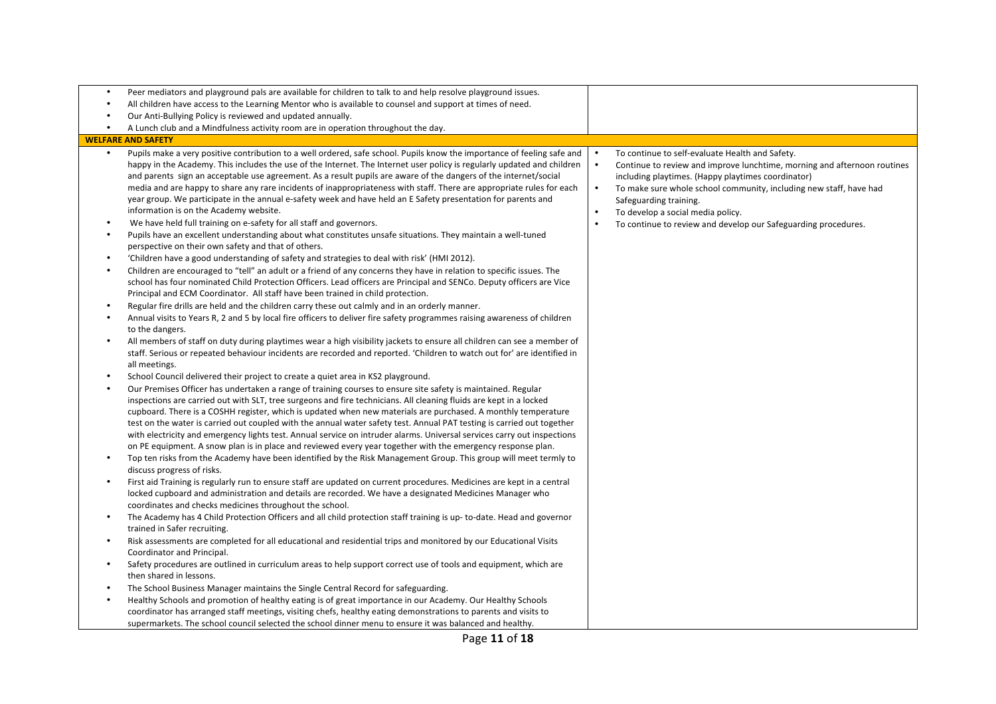| All children have access to the Learning Mentor who is available to counsel and support at times of need.<br>$\bullet$<br>Our Anti-Bullying Policy is reviewed and updated annually.<br>A Lunch club and a Mindfulness activity room are in operation throughout the day.<br>$\bullet$<br><b>WELFARE AND SAFETY</b><br>Pupils make a very positive contribution to a well ordered, safe school. Pupils know the importance of feeling safe and<br>To continue to self-evaluate Health and Safety.<br>$\bullet$<br>happy in the Academy. This includes the use of the Internet. The Internet user policy is regularly updated and children<br>$\bullet$<br>and parents sign an acceptable use agreement. As a result pupils are aware of the dangers of the internet/social<br>including playtimes. (Happy playtimes coordinator)<br>media and are happy to share any rare incidents of inappropriateness with staff. There are appropriate rules for each<br>$\bullet$<br>To make sure whole school community, including new staff, have had<br>year group. We participate in the annual e-safety week and have held an E Safety presentation for parents and<br>Safeguarding training.<br>information is on the Academy website.<br>To develop a social media policy.<br>We have held full training on e-safety for all staff and governors.<br>To continue to review and develop our Safeguarding procedures.<br>Pupils have an excellent understanding about what constitutes unsafe situations. They maintain a well-tuned<br>$\bullet$<br>perspective on their own safety and that of others.<br>'Children have a good understanding of safety and strategies to deal with risk' (HMI 2012).<br>$\bullet$<br>Children are encouraged to "tell" an adult or a friend of any concerns they have in relation to specific issues. The<br>$\bullet$<br>school has four nominated Child Protection Officers. Lead officers are Principal and SENCo. Deputy officers are Vice<br>Principal and ECM Coordinator. All staff have been trained in child protection.<br>Regular fire drills are held and the children carry these out calmly and in an orderly manner.<br>Annual visits to Years R, 2 and 5 by local fire officers to deliver fire safety programmes raising awareness of children<br>$\bullet$<br>to the dangers.<br>All members of staff on duty during playtimes wear a high visibility jackets to ensure all children can see a member of<br>$\bullet$<br>staff. Serious or repeated behaviour incidents are recorded and reported. 'Children to watch out for' are identified in<br>all meetings.<br>School Council delivered their project to create a quiet area in KS2 playground.<br>Our Premises Officer has undertaken a range of training courses to ensure site safety is maintained. Regular<br>inspections are carried out with SLT, tree surgeons and fire technicians. All cleaning fluids are kept in a locked<br>cupboard. There is a COSHH register, which is updated when new materials are purchased. A monthly temperature<br>test on the water is carried out coupled with the annual water safety test. Annual PAT testing is carried out together<br>with electricity and emergency lights test. Annual service on intruder alarms. Universal services carry out inspections<br>on PE equipment. A snow plan is in place and reviewed every year together with the emergency response plan.<br>Top ten risks from the Academy have been identified by the Risk Management Group. This group will meet termly to<br>discuss progress of risks.<br>First aid Training is regularly run to ensure staff are updated on current procedures. Medicines are kept in a central<br>locked cupboard and administration and details are recorded. We have a designated Medicines Manager who<br>coordinates and checks medicines throughout the school.<br>The Academy has 4 Child Protection Officers and all child protection staff training is up- to-date. Head and governor<br>trained in Safer recruiting.<br>Risk assessments are completed for all educational and residential trips and monitored by our Educational Visits<br>$\bullet$<br>Coordinator and Principal.<br>Safety procedures are outlined in curriculum areas to help support correct use of tools and equipment, which are | $\bullet$ | Peer mediators and playground pals are available for children to talk to and help resolve playground issues. |                                                                          |
|-------------------------------------------------------------------------------------------------------------------------------------------------------------------------------------------------------------------------------------------------------------------------------------------------------------------------------------------------------------------------------------------------------------------------------------------------------------------------------------------------------------------------------------------------------------------------------------------------------------------------------------------------------------------------------------------------------------------------------------------------------------------------------------------------------------------------------------------------------------------------------------------------------------------------------------------------------------------------------------------------------------------------------------------------------------------------------------------------------------------------------------------------------------------------------------------------------------------------------------------------------------------------------------------------------------------------------------------------------------------------------------------------------------------------------------------------------------------------------------------------------------------------------------------------------------------------------------------------------------------------------------------------------------------------------------------------------------------------------------------------------------------------------------------------------------------------------------------------------------------------------------------------------------------------------------------------------------------------------------------------------------------------------------------------------------------------------------------------------------------------------------------------------------------------------------------------------------------------------------------------------------------------------------------------------------------------------------------------------------------------------------------------------------------------------------------------------------------------------------------------------------------------------------------------------------------------------------------------------------------------------------------------------------------------------------------------------------------------------------------------------------------------------------------------------------------------------------------------------------------------------------------------------------------------------------------------------------------------------------------------------------------------------------------------------------------------------------------------------------------------------------------------------------------------------------------------------------------------------------------------------------------------------------------------------------------------------------------------------------------------------------------------------------------------------------------------------------------------------------------------------------------------------------------------------------------------------------------------------------------------------------------------------------------------------------------------------------------------------------------------------------------------------------------------------------------------------------------------------------------------------------------------------------------------------------------------------------------------------------------------------------------------------------------------------------------------------------------------------------------------------------------------------------------------------------------------------------------------------------------------------------------------------------------------------------------------------|-----------|--------------------------------------------------------------------------------------------------------------|--------------------------------------------------------------------------|
|                                                                                                                                                                                                                                                                                                                                                                                                                                                                                                                                                                                                                                                                                                                                                                                                                                                                                                                                                                                                                                                                                                                                                                                                                                                                                                                                                                                                                                                                                                                                                                                                                                                                                                                                                                                                                                                                                                                                                                                                                                                                                                                                                                                                                                                                                                                                                                                                                                                                                                                                                                                                                                                                                                                                                                                                                                                                                                                                                                                                                                                                                                                                                                                                                                                                                                                                                                                                                                                                                                                                                                                                                                                                                                                                                                                                                                                                                                                                                                                                                                                                                                                                                                                                                                                                                                                               |           |                                                                                                              |                                                                          |
|                                                                                                                                                                                                                                                                                                                                                                                                                                                                                                                                                                                                                                                                                                                                                                                                                                                                                                                                                                                                                                                                                                                                                                                                                                                                                                                                                                                                                                                                                                                                                                                                                                                                                                                                                                                                                                                                                                                                                                                                                                                                                                                                                                                                                                                                                                                                                                                                                                                                                                                                                                                                                                                                                                                                                                                                                                                                                                                                                                                                                                                                                                                                                                                                                                                                                                                                                                                                                                                                                                                                                                                                                                                                                                                                                                                                                                                                                                                                                                                                                                                                                                                                                                                                                                                                                                                               |           |                                                                                                              |                                                                          |
|                                                                                                                                                                                                                                                                                                                                                                                                                                                                                                                                                                                                                                                                                                                                                                                                                                                                                                                                                                                                                                                                                                                                                                                                                                                                                                                                                                                                                                                                                                                                                                                                                                                                                                                                                                                                                                                                                                                                                                                                                                                                                                                                                                                                                                                                                                                                                                                                                                                                                                                                                                                                                                                                                                                                                                                                                                                                                                                                                                                                                                                                                                                                                                                                                                                                                                                                                                                                                                                                                                                                                                                                                                                                                                                                                                                                                                                                                                                                                                                                                                                                                                                                                                                                                                                                                                                               |           |                                                                                                              |                                                                          |
|                                                                                                                                                                                                                                                                                                                                                                                                                                                                                                                                                                                                                                                                                                                                                                                                                                                                                                                                                                                                                                                                                                                                                                                                                                                                                                                                                                                                                                                                                                                                                                                                                                                                                                                                                                                                                                                                                                                                                                                                                                                                                                                                                                                                                                                                                                                                                                                                                                                                                                                                                                                                                                                                                                                                                                                                                                                                                                                                                                                                                                                                                                                                                                                                                                                                                                                                                                                                                                                                                                                                                                                                                                                                                                                                                                                                                                                                                                                                                                                                                                                                                                                                                                                                                                                                                                                               |           |                                                                                                              |                                                                          |
|                                                                                                                                                                                                                                                                                                                                                                                                                                                                                                                                                                                                                                                                                                                                                                                                                                                                                                                                                                                                                                                                                                                                                                                                                                                                                                                                                                                                                                                                                                                                                                                                                                                                                                                                                                                                                                                                                                                                                                                                                                                                                                                                                                                                                                                                                                                                                                                                                                                                                                                                                                                                                                                                                                                                                                                                                                                                                                                                                                                                                                                                                                                                                                                                                                                                                                                                                                                                                                                                                                                                                                                                                                                                                                                                                                                                                                                                                                                                                                                                                                                                                                                                                                                                                                                                                                                               |           |                                                                                                              | Continue to review and improve lunchtime, morning and afternoon routines |
|                                                                                                                                                                                                                                                                                                                                                                                                                                                                                                                                                                                                                                                                                                                                                                                                                                                                                                                                                                                                                                                                                                                                                                                                                                                                                                                                                                                                                                                                                                                                                                                                                                                                                                                                                                                                                                                                                                                                                                                                                                                                                                                                                                                                                                                                                                                                                                                                                                                                                                                                                                                                                                                                                                                                                                                                                                                                                                                                                                                                                                                                                                                                                                                                                                                                                                                                                                                                                                                                                                                                                                                                                                                                                                                                                                                                                                                                                                                                                                                                                                                                                                                                                                                                                                                                                                                               |           |                                                                                                              |                                                                          |
|                                                                                                                                                                                                                                                                                                                                                                                                                                                                                                                                                                                                                                                                                                                                                                                                                                                                                                                                                                                                                                                                                                                                                                                                                                                                                                                                                                                                                                                                                                                                                                                                                                                                                                                                                                                                                                                                                                                                                                                                                                                                                                                                                                                                                                                                                                                                                                                                                                                                                                                                                                                                                                                                                                                                                                                                                                                                                                                                                                                                                                                                                                                                                                                                                                                                                                                                                                                                                                                                                                                                                                                                                                                                                                                                                                                                                                                                                                                                                                                                                                                                                                                                                                                                                                                                                                                               |           |                                                                                                              |                                                                          |
|                                                                                                                                                                                                                                                                                                                                                                                                                                                                                                                                                                                                                                                                                                                                                                                                                                                                                                                                                                                                                                                                                                                                                                                                                                                                                                                                                                                                                                                                                                                                                                                                                                                                                                                                                                                                                                                                                                                                                                                                                                                                                                                                                                                                                                                                                                                                                                                                                                                                                                                                                                                                                                                                                                                                                                                                                                                                                                                                                                                                                                                                                                                                                                                                                                                                                                                                                                                                                                                                                                                                                                                                                                                                                                                                                                                                                                                                                                                                                                                                                                                                                                                                                                                                                                                                                                                               |           |                                                                                                              |                                                                          |
|                                                                                                                                                                                                                                                                                                                                                                                                                                                                                                                                                                                                                                                                                                                                                                                                                                                                                                                                                                                                                                                                                                                                                                                                                                                                                                                                                                                                                                                                                                                                                                                                                                                                                                                                                                                                                                                                                                                                                                                                                                                                                                                                                                                                                                                                                                                                                                                                                                                                                                                                                                                                                                                                                                                                                                                                                                                                                                                                                                                                                                                                                                                                                                                                                                                                                                                                                                                                                                                                                                                                                                                                                                                                                                                                                                                                                                                                                                                                                                                                                                                                                                                                                                                                                                                                                                                               |           |                                                                                                              |                                                                          |
|                                                                                                                                                                                                                                                                                                                                                                                                                                                                                                                                                                                                                                                                                                                                                                                                                                                                                                                                                                                                                                                                                                                                                                                                                                                                                                                                                                                                                                                                                                                                                                                                                                                                                                                                                                                                                                                                                                                                                                                                                                                                                                                                                                                                                                                                                                                                                                                                                                                                                                                                                                                                                                                                                                                                                                                                                                                                                                                                                                                                                                                                                                                                                                                                                                                                                                                                                                                                                                                                                                                                                                                                                                                                                                                                                                                                                                                                                                                                                                                                                                                                                                                                                                                                                                                                                                                               |           |                                                                                                              |                                                                          |
|                                                                                                                                                                                                                                                                                                                                                                                                                                                                                                                                                                                                                                                                                                                                                                                                                                                                                                                                                                                                                                                                                                                                                                                                                                                                                                                                                                                                                                                                                                                                                                                                                                                                                                                                                                                                                                                                                                                                                                                                                                                                                                                                                                                                                                                                                                                                                                                                                                                                                                                                                                                                                                                                                                                                                                                                                                                                                                                                                                                                                                                                                                                                                                                                                                                                                                                                                                                                                                                                                                                                                                                                                                                                                                                                                                                                                                                                                                                                                                                                                                                                                                                                                                                                                                                                                                                               |           |                                                                                                              |                                                                          |
|                                                                                                                                                                                                                                                                                                                                                                                                                                                                                                                                                                                                                                                                                                                                                                                                                                                                                                                                                                                                                                                                                                                                                                                                                                                                                                                                                                                                                                                                                                                                                                                                                                                                                                                                                                                                                                                                                                                                                                                                                                                                                                                                                                                                                                                                                                                                                                                                                                                                                                                                                                                                                                                                                                                                                                                                                                                                                                                                                                                                                                                                                                                                                                                                                                                                                                                                                                                                                                                                                                                                                                                                                                                                                                                                                                                                                                                                                                                                                                                                                                                                                                                                                                                                                                                                                                                               |           |                                                                                                              |                                                                          |
|                                                                                                                                                                                                                                                                                                                                                                                                                                                                                                                                                                                                                                                                                                                                                                                                                                                                                                                                                                                                                                                                                                                                                                                                                                                                                                                                                                                                                                                                                                                                                                                                                                                                                                                                                                                                                                                                                                                                                                                                                                                                                                                                                                                                                                                                                                                                                                                                                                                                                                                                                                                                                                                                                                                                                                                                                                                                                                                                                                                                                                                                                                                                                                                                                                                                                                                                                                                                                                                                                                                                                                                                                                                                                                                                                                                                                                                                                                                                                                                                                                                                                                                                                                                                                                                                                                                               |           |                                                                                                              |                                                                          |
|                                                                                                                                                                                                                                                                                                                                                                                                                                                                                                                                                                                                                                                                                                                                                                                                                                                                                                                                                                                                                                                                                                                                                                                                                                                                                                                                                                                                                                                                                                                                                                                                                                                                                                                                                                                                                                                                                                                                                                                                                                                                                                                                                                                                                                                                                                                                                                                                                                                                                                                                                                                                                                                                                                                                                                                                                                                                                                                                                                                                                                                                                                                                                                                                                                                                                                                                                                                                                                                                                                                                                                                                                                                                                                                                                                                                                                                                                                                                                                                                                                                                                                                                                                                                                                                                                                                               |           |                                                                                                              |                                                                          |
|                                                                                                                                                                                                                                                                                                                                                                                                                                                                                                                                                                                                                                                                                                                                                                                                                                                                                                                                                                                                                                                                                                                                                                                                                                                                                                                                                                                                                                                                                                                                                                                                                                                                                                                                                                                                                                                                                                                                                                                                                                                                                                                                                                                                                                                                                                                                                                                                                                                                                                                                                                                                                                                                                                                                                                                                                                                                                                                                                                                                                                                                                                                                                                                                                                                                                                                                                                                                                                                                                                                                                                                                                                                                                                                                                                                                                                                                                                                                                                                                                                                                                                                                                                                                                                                                                                                               |           |                                                                                                              |                                                                          |
|                                                                                                                                                                                                                                                                                                                                                                                                                                                                                                                                                                                                                                                                                                                                                                                                                                                                                                                                                                                                                                                                                                                                                                                                                                                                                                                                                                                                                                                                                                                                                                                                                                                                                                                                                                                                                                                                                                                                                                                                                                                                                                                                                                                                                                                                                                                                                                                                                                                                                                                                                                                                                                                                                                                                                                                                                                                                                                                                                                                                                                                                                                                                                                                                                                                                                                                                                                                                                                                                                                                                                                                                                                                                                                                                                                                                                                                                                                                                                                                                                                                                                                                                                                                                                                                                                                                               |           |                                                                                                              |                                                                          |
|                                                                                                                                                                                                                                                                                                                                                                                                                                                                                                                                                                                                                                                                                                                                                                                                                                                                                                                                                                                                                                                                                                                                                                                                                                                                                                                                                                                                                                                                                                                                                                                                                                                                                                                                                                                                                                                                                                                                                                                                                                                                                                                                                                                                                                                                                                                                                                                                                                                                                                                                                                                                                                                                                                                                                                                                                                                                                                                                                                                                                                                                                                                                                                                                                                                                                                                                                                                                                                                                                                                                                                                                                                                                                                                                                                                                                                                                                                                                                                                                                                                                                                                                                                                                                                                                                                                               |           |                                                                                                              |                                                                          |
|                                                                                                                                                                                                                                                                                                                                                                                                                                                                                                                                                                                                                                                                                                                                                                                                                                                                                                                                                                                                                                                                                                                                                                                                                                                                                                                                                                                                                                                                                                                                                                                                                                                                                                                                                                                                                                                                                                                                                                                                                                                                                                                                                                                                                                                                                                                                                                                                                                                                                                                                                                                                                                                                                                                                                                                                                                                                                                                                                                                                                                                                                                                                                                                                                                                                                                                                                                                                                                                                                                                                                                                                                                                                                                                                                                                                                                                                                                                                                                                                                                                                                                                                                                                                                                                                                                                               |           |                                                                                                              |                                                                          |
|                                                                                                                                                                                                                                                                                                                                                                                                                                                                                                                                                                                                                                                                                                                                                                                                                                                                                                                                                                                                                                                                                                                                                                                                                                                                                                                                                                                                                                                                                                                                                                                                                                                                                                                                                                                                                                                                                                                                                                                                                                                                                                                                                                                                                                                                                                                                                                                                                                                                                                                                                                                                                                                                                                                                                                                                                                                                                                                                                                                                                                                                                                                                                                                                                                                                                                                                                                                                                                                                                                                                                                                                                                                                                                                                                                                                                                                                                                                                                                                                                                                                                                                                                                                                                                                                                                                               |           | then shared in lessons.                                                                                      |                                                                          |
| The School Business Manager maintains the Single Central Record for safeguarding.<br>$\bullet$                                                                                                                                                                                                                                                                                                                                                                                                                                                                                                                                                                                                                                                                                                                                                                                                                                                                                                                                                                                                                                                                                                                                                                                                                                                                                                                                                                                                                                                                                                                                                                                                                                                                                                                                                                                                                                                                                                                                                                                                                                                                                                                                                                                                                                                                                                                                                                                                                                                                                                                                                                                                                                                                                                                                                                                                                                                                                                                                                                                                                                                                                                                                                                                                                                                                                                                                                                                                                                                                                                                                                                                                                                                                                                                                                                                                                                                                                                                                                                                                                                                                                                                                                                                                                                |           |                                                                                                              |                                                                          |
| Healthy Schools and promotion of healthy eating is of great importance in our Academy. Our Healthy Schools<br>$\bullet$                                                                                                                                                                                                                                                                                                                                                                                                                                                                                                                                                                                                                                                                                                                                                                                                                                                                                                                                                                                                                                                                                                                                                                                                                                                                                                                                                                                                                                                                                                                                                                                                                                                                                                                                                                                                                                                                                                                                                                                                                                                                                                                                                                                                                                                                                                                                                                                                                                                                                                                                                                                                                                                                                                                                                                                                                                                                                                                                                                                                                                                                                                                                                                                                                                                                                                                                                                                                                                                                                                                                                                                                                                                                                                                                                                                                                                                                                                                                                                                                                                                                                                                                                                                                       |           |                                                                                                              |                                                                          |
| coordinator has arranged staff meetings, visiting chefs, healthy eating demonstrations to parents and visits to                                                                                                                                                                                                                                                                                                                                                                                                                                                                                                                                                                                                                                                                                                                                                                                                                                                                                                                                                                                                                                                                                                                                                                                                                                                                                                                                                                                                                                                                                                                                                                                                                                                                                                                                                                                                                                                                                                                                                                                                                                                                                                                                                                                                                                                                                                                                                                                                                                                                                                                                                                                                                                                                                                                                                                                                                                                                                                                                                                                                                                                                                                                                                                                                                                                                                                                                                                                                                                                                                                                                                                                                                                                                                                                                                                                                                                                                                                                                                                                                                                                                                                                                                                                                               |           |                                                                                                              |                                                                          |
| supermarkets. The school council selected the school dinner menu to ensure it was balanced and healthy.                                                                                                                                                                                                                                                                                                                                                                                                                                                                                                                                                                                                                                                                                                                                                                                                                                                                                                                                                                                                                                                                                                                                                                                                                                                                                                                                                                                                                                                                                                                                                                                                                                                                                                                                                                                                                                                                                                                                                                                                                                                                                                                                                                                                                                                                                                                                                                                                                                                                                                                                                                                                                                                                                                                                                                                                                                                                                                                                                                                                                                                                                                                                                                                                                                                                                                                                                                                                                                                                                                                                                                                                                                                                                                                                                                                                                                                                                                                                                                                                                                                                                                                                                                                                                       |           |                                                                                                              |                                                                          |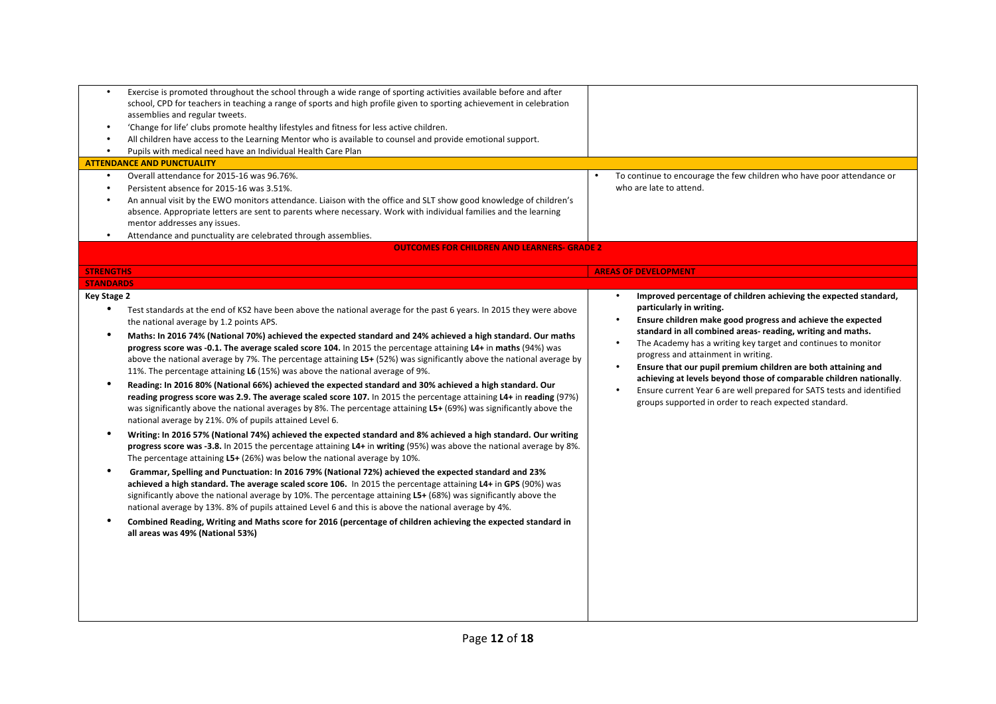| $\bullet$                                                                                             | Exercise is promoted throughout the school through a wide range of sporting activities available before and after    |                                                                            |
|-------------------------------------------------------------------------------------------------------|----------------------------------------------------------------------------------------------------------------------|----------------------------------------------------------------------------|
|                                                                                                       | school, CPD for teachers in teaching a range of sports and high profile given to sporting achievement in celebration |                                                                            |
| assemblies and regular tweets.                                                                        |                                                                                                                      |                                                                            |
| 'Change for life' clubs promote healthy lifestyles and fitness for less active children.<br>$\bullet$ |                                                                                                                      |                                                                            |
| $\bullet$                                                                                             | All children have access to the Learning Mentor who is available to counsel and provide emotional support.           |                                                                            |
| Pupils with medical need have an Individual Health Care Plan                                          |                                                                                                                      |                                                                            |
| <b>ATTENDANCE AND PUNCTUALITY</b>                                                                     |                                                                                                                      |                                                                            |
| Overall attendance for 2015-16 was 96.76%.<br>$\bullet$                                               |                                                                                                                      | To continue to encourage the few children who have poor attendance or      |
| Persistent absence for 2015-16 was 3.51%.<br>$\bullet$                                                |                                                                                                                      | who are late to attend.                                                    |
|                                                                                                       | An annual visit by the EWO monitors attendance. Liaison with the office and SLT show good knowledge of children's    |                                                                            |
|                                                                                                       | absence. Appropriate letters are sent to parents where necessary. Work with individual families and the learning     |                                                                            |
| mentor addresses any issues.                                                                          |                                                                                                                      |                                                                            |
| Attendance and punctuality are celebrated through assemblies.<br>$\bullet$                            |                                                                                                                      |                                                                            |
|                                                                                                       | <b>OUTCOMES FOR CHILDREN AND LEARNERS- GRADE 2</b>                                                                   |                                                                            |
| <b>STRENGTHS</b>                                                                                      |                                                                                                                      | <b>AREAS OF DEVELOPMENT</b>                                                |
| <b>STANDARDS</b>                                                                                      |                                                                                                                      |                                                                            |
| <b>Key Stage 2</b>                                                                                    |                                                                                                                      | Improved percentage of children achieving the expected standard,           |
|                                                                                                       |                                                                                                                      | particularly in writing.                                                   |
| $\bullet$                                                                                             | Test standards at the end of KS2 have been above the national average for the past 6 years. In 2015 they were above  | Ensure children make good progress and achieve the expected                |
| the national average by 1.2 points APS.                                                               |                                                                                                                      | standard in all combined areas- reading, writing and maths.                |
| $\bullet$                                                                                             | Maths: In 2016 74% (National 70%) achieved the expected standard and 24% achieved a high standard. Our maths         | The Academy has a writing key target and continues to monitor              |
|                                                                                                       | progress score was -0.1. The average scaled score 104. In 2015 the percentage attaining L4+ in maths (94%) was       | progress and attainment in writing.                                        |
|                                                                                                       | above the national average by 7%. The percentage attaining L5+ (52%) was significantly above the national average by | Ensure that our pupil premium children are both attaining and<br>$\bullet$ |
| 11%. The percentage attaining L6 (15%) was above the national average of 9%.                          |                                                                                                                      | achieving at levels beyond those of comparable children nationally.        |
|                                                                                                       | Reading: In 2016 80% (National 66%) achieved the expected standard and 30% achieved a high standard. Our             | Ensure current Year 6 are well prepared for SATS tests and identified      |
|                                                                                                       | reading progress score was 2.9. The average scaled score 107. In 2015 the percentage attaining L4+ in reading (97%)  | groups supported in order to reach expected standard.                      |
|                                                                                                       | was significantly above the national averages by 8%. The percentage attaining L5+ (69%) was significantly above the  |                                                                            |
| national average by 21%. 0% of pupils attained Level 6.                                               |                                                                                                                      |                                                                            |
| ٠                                                                                                     | Writing: In 2016 57% (National 74%) achieved the expected standard and 8% achieved a high standard. Our writing      |                                                                            |
|                                                                                                       | progress score was -3.8. In 2015 the percentage attaining L4+ in writing (95%) was above the national average by 8%. |                                                                            |
| The percentage attaining $L5+$ (26%) was below the national average by 10%.                           |                                                                                                                      |                                                                            |
| ٠                                                                                                     | Grammar, Spelling and Punctuation: In 2016 79% (National 72%) achieved the expected standard and 23%                 |                                                                            |
|                                                                                                       | achieved a high standard. The average scaled score 106. In 2015 the percentage attaining L4+ in GPS (90%) was        |                                                                            |
|                                                                                                       | significantly above the national average by 10%. The percentage attaining $L5+$ (68%) was significantly above the    |                                                                            |
|                                                                                                       | national average by 13%. 8% of pupils attained Level 6 and this is above the national average by 4%.                 |                                                                            |
| $\bullet$                                                                                             | Combined Reading, Writing and Maths score for 2016 (percentage of children achieving the expected standard in        |                                                                            |
| all areas was 49% (National 53%)                                                                      |                                                                                                                      |                                                                            |
|                                                                                                       |                                                                                                                      |                                                                            |
|                                                                                                       |                                                                                                                      |                                                                            |
|                                                                                                       |                                                                                                                      |                                                                            |
|                                                                                                       |                                                                                                                      |                                                                            |
|                                                                                                       |                                                                                                                      |                                                                            |
|                                                                                                       |                                                                                                                      |                                                                            |
|                                                                                                       |                                                                                                                      |                                                                            |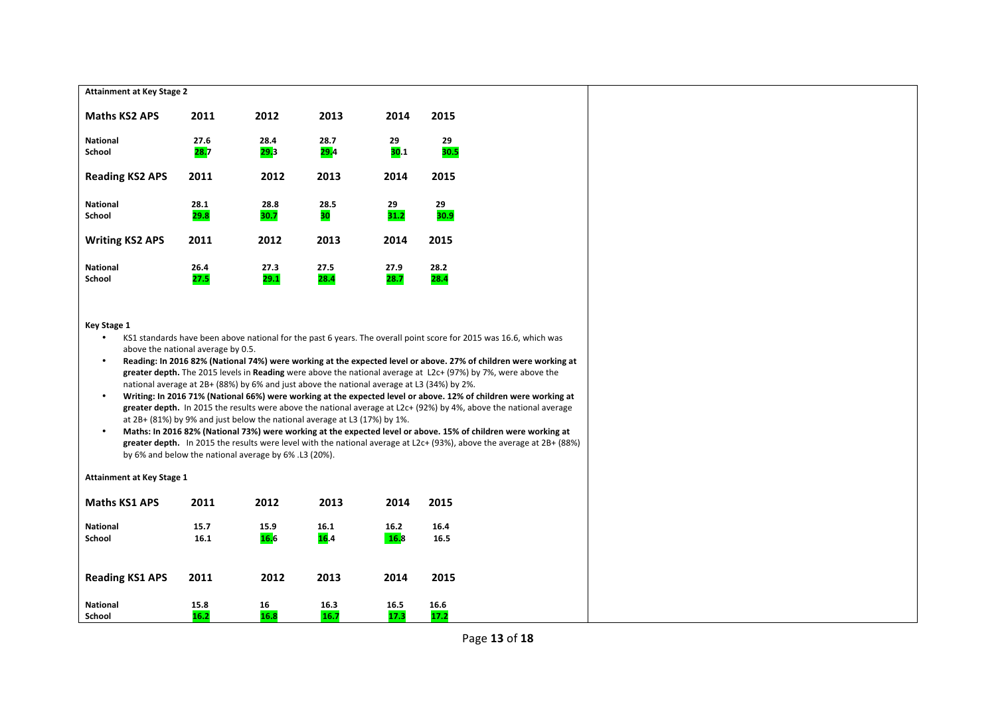| <b>Attainment at Key Stage 2</b>                                                                                                                                                                                                                                                                                                                                                                                                                                                                                                                                                                                                                                                                                                                                                                                                                                                                                                                                                                                                                                                                                                                                                                                |              |              |              |                     |              |  |  |
|-----------------------------------------------------------------------------------------------------------------------------------------------------------------------------------------------------------------------------------------------------------------------------------------------------------------------------------------------------------------------------------------------------------------------------------------------------------------------------------------------------------------------------------------------------------------------------------------------------------------------------------------------------------------------------------------------------------------------------------------------------------------------------------------------------------------------------------------------------------------------------------------------------------------------------------------------------------------------------------------------------------------------------------------------------------------------------------------------------------------------------------------------------------------------------------------------------------------|--------------|--------------|--------------|---------------------|--------------|--|--|
| <b>Maths KS2 APS</b>                                                                                                                                                                                                                                                                                                                                                                                                                                                                                                                                                                                                                                                                                                                                                                                                                                                                                                                                                                                                                                                                                                                                                                                            | 2011         | 2012         | 2013         | 2014                | 2015         |  |  |
| <b>National</b><br>School                                                                                                                                                                                                                                                                                                                                                                                                                                                                                                                                                                                                                                                                                                                                                                                                                                                                                                                                                                                                                                                                                                                                                                                       | 27.6<br>28.7 | 28.4<br>29.3 | 28.7<br>29.4 | 29<br>30.1          | 29<br>30.5   |  |  |
| <b>Reading KS2 APS</b>                                                                                                                                                                                                                                                                                                                                                                                                                                                                                                                                                                                                                                                                                                                                                                                                                                                                                                                                                                                                                                                                                                                                                                                          | 2011         | 2012         | 2013         | 2014                | 2015         |  |  |
| <b>National</b>                                                                                                                                                                                                                                                                                                                                                                                                                                                                                                                                                                                                                                                                                                                                                                                                                                                                                                                                                                                                                                                                                                                                                                                                 | 28.1         | 28.8         | 28.5         | 29                  | 29           |  |  |
| School                                                                                                                                                                                                                                                                                                                                                                                                                                                                                                                                                                                                                                                                                                                                                                                                                                                                                                                                                                                                                                                                                                                                                                                                          | 29.8         | 30.7         | 30           | 31.2                | 30.9         |  |  |
| <b>Writing KS2 APS</b>                                                                                                                                                                                                                                                                                                                                                                                                                                                                                                                                                                                                                                                                                                                                                                                                                                                                                                                                                                                                                                                                                                                                                                                          | 2011         | 2012         | 2013         | 2014                | 2015         |  |  |
| <b>National</b><br>School                                                                                                                                                                                                                                                                                                                                                                                                                                                                                                                                                                                                                                                                                                                                                                                                                                                                                                                                                                                                                                                                                                                                                                                       | 26.4<br>27.5 | 27.3<br>29.1 | 27.5<br>28.4 | 27.9<br>28.7        | 28.2<br>28.4 |  |  |
| Key Stage 1<br>KS1 standards have been above national for the past 6 years. The overall point score for 2015 was 16.6, which was<br>above the national average by 0.5.<br>Reading: In 2016 82% (National 74%) were working at the expected level or above. 27% of children were working at<br>$\bullet$<br>greater depth. The 2015 levels in Reading were above the national average at L2c+ (97%) by 7%, were above the<br>national average at 2B+ (88%) by 6% and just above the national average at L3 (34%) by 2%.<br>$\bullet$<br>Writing: In 2016 71% (National 66%) were working at the expected level or above. 12% of children were working at<br>greater depth. In 2015 the results were above the national average at L2c+ (92%) by 4%, above the national average<br>at 2B+ (81%) by 9% and just below the national average at L3 (17%) by 1%.<br>Maths: In 2016 82% (National 73%) were working at the expected level or above. 15% of children were working at<br>$\bullet$<br>greater depth. In 2015 the results were level with the national average at L2c+ (93%), above the average at 2B+ (88%)<br>by 6% and below the national average by 6% .L3 (20%).<br><b>Attainment at Key Stage 1</b> |              |              |              |                     |              |  |  |
| <b>Maths KS1 APS</b>                                                                                                                                                                                                                                                                                                                                                                                                                                                                                                                                                                                                                                                                                                                                                                                                                                                                                                                                                                                                                                                                                                                                                                                            | 2011         | 2012         | 2013         | 2014                | 2015         |  |  |
| <b>National</b><br><b>School</b>                                                                                                                                                                                                                                                                                                                                                                                                                                                                                                                                                                                                                                                                                                                                                                                                                                                                                                                                                                                                                                                                                                                                                                                | 15.7<br>16.1 | 15.9<br>16.6 | 16.1<br>16.4 | 16.2<br><b>16.8</b> | 16.4<br>16.5 |  |  |
| <b>Reading KS1 APS</b>                                                                                                                                                                                                                                                                                                                                                                                                                                                                                                                                                                                                                                                                                                                                                                                                                                                                                                                                                                                                                                                                                                                                                                                          | 2011         | 2012         | 2013         | 2014                | 2015         |  |  |

**National 15.8 16 16.3 16.5 16.6 School 16.2 16.8 16.7 17.3 17.2**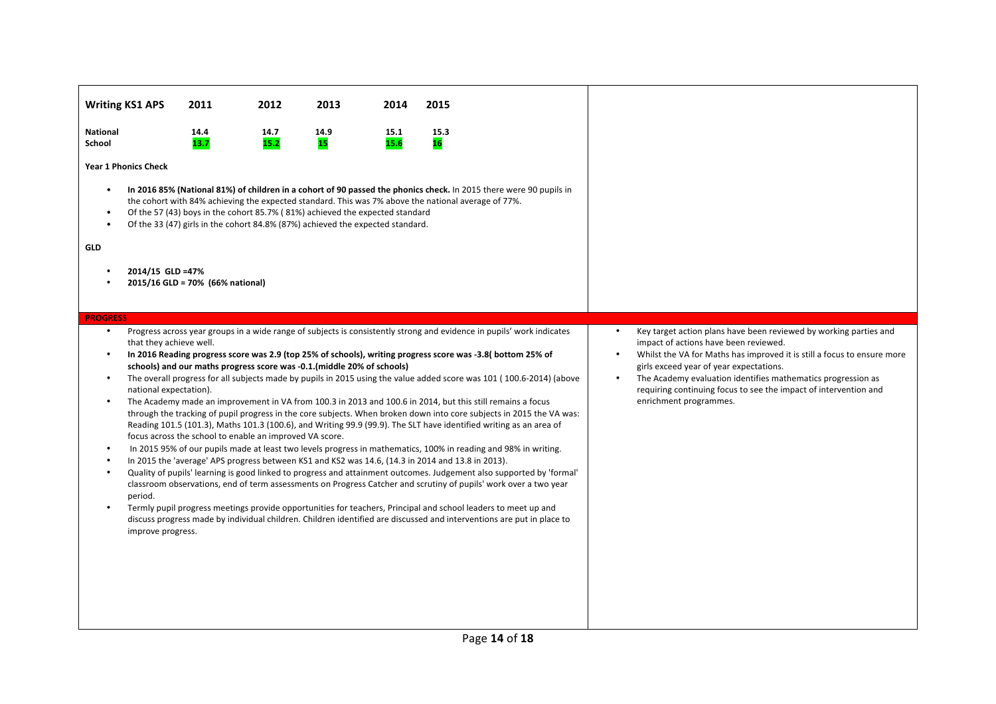|                                      | <b>Writing KS1 APS</b>                                                            | 2011                             | 2012                                                                                                                                                                                                                                                                  | 2013              | 2014         | 2015              |                                                                                                                                                                                                                                                                                                                                                                                                                                                                                                                                                                                                                                                                                                                                                                                                                                                                                                                                                                                                                                                                                                                                                                                                                                                                                                                                    |                        |                                                                                                                                                                                                                                                                                                                                                                                                |
|--------------------------------------|-----------------------------------------------------------------------------------|----------------------------------|-----------------------------------------------------------------------------------------------------------------------------------------------------------------------------------------------------------------------------------------------------------------------|-------------------|--------------|-------------------|------------------------------------------------------------------------------------------------------------------------------------------------------------------------------------------------------------------------------------------------------------------------------------------------------------------------------------------------------------------------------------------------------------------------------------------------------------------------------------------------------------------------------------------------------------------------------------------------------------------------------------------------------------------------------------------------------------------------------------------------------------------------------------------------------------------------------------------------------------------------------------------------------------------------------------------------------------------------------------------------------------------------------------------------------------------------------------------------------------------------------------------------------------------------------------------------------------------------------------------------------------------------------------------------------------------------------------|------------------------|------------------------------------------------------------------------------------------------------------------------------------------------------------------------------------------------------------------------------------------------------------------------------------------------------------------------------------------------------------------------------------------------|
| <b>National</b><br>School            |                                                                                   | 14.4<br>13.7                     | 14.7<br>15.2                                                                                                                                                                                                                                                          | 14.9<br><b>15</b> | 15.1<br>15.6 | 15.3<br><b>16</b> |                                                                                                                                                                                                                                                                                                                                                                                                                                                                                                                                                                                                                                                                                                                                                                                                                                                                                                                                                                                                                                                                                                                                                                                                                                                                                                                                    |                        |                                                                                                                                                                                                                                                                                                                                                                                                |
|                                      | <b>Year 1 Phonics Check</b>                                                       |                                  |                                                                                                                                                                                                                                                                       |                   |              |                   |                                                                                                                                                                                                                                                                                                                                                                                                                                                                                                                                                                                                                                                                                                                                                                                                                                                                                                                                                                                                                                                                                                                                                                                                                                                                                                                                    |                        |                                                                                                                                                                                                                                                                                                                                                                                                |
| $\bullet$<br>$\bullet$<br><b>GLD</b> | 2014/15 GLD =47%                                                                  | 2015/16 GLD = 70% (66% national) | the cohort with 84% achieving the expected standard. This was 7% above the national average of 77%.<br>Of the 57 (43) boys in the cohort 85.7% (81%) achieved the expected standard<br>Of the 33 (47) girls in the cohort 84.8% (87%) achieved the expected standard. |                   |              |                   | In 2016 85% (National 81%) of children in a cohort of 90 passed the phonics check. In 2015 there were 90 pupils in                                                                                                                                                                                                                                                                                                                                                                                                                                                                                                                                                                                                                                                                                                                                                                                                                                                                                                                                                                                                                                                                                                                                                                                                                 |                        |                                                                                                                                                                                                                                                                                                                                                                                                |
| <b>PROGRESS</b>                      |                                                                                   |                                  |                                                                                                                                                                                                                                                                       |                   |              |                   |                                                                                                                                                                                                                                                                                                                                                                                                                                                                                                                                                                                                                                                                                                                                                                                                                                                                                                                                                                                                                                                                                                                                                                                                                                                                                                                                    |                        |                                                                                                                                                                                                                                                                                                                                                                                                |
| $\bullet$<br>$\bullet$<br>$\bullet$  | that they achieve well.<br>national expectation).<br>period.<br>improve progress. |                                  | schools) and our maths progress score was -0.1. (middle 20% of schools)<br>focus across the school to enable an improved VA score.<br>In 2015 the 'average' APS progress between KS1 and KS2 was 14.6, (14.3 in 2014 and 13.8 in 2013).                               |                   |              |                   | Progress across year groups in a wide range of subjects is consistently strong and evidence in pupils' work indicates<br>In 2016 Reading progress score was 2.9 (top 25% of schools), writing progress score was -3.8 (bottom 25% of<br>The overall progress for all subjects made by pupils in 2015 using the value added score was 101 (100.6-2014) (above<br>The Academy made an improvement in VA from 100.3 in 2013 and 100.6 in 2014, but this still remains a focus<br>through the tracking of pupil progress in the core subjects. When broken down into core subjects in 2015 the VA was:<br>Reading 101.5 (101.3), Maths 101.3 (100.6), and Writing 99.9 (99.9). The SLT have identified writing as an area of<br>In 2015 95% of our pupils made at least two levels progress in mathematics, 100% in reading and 98% in writing.<br>Quality of pupils' learning is good linked to progress and attainment outcomes. Judgement also supported by 'formal'<br>classroom observations, end of term assessments on Progress Catcher and scrutiny of pupils' work over a two year<br>Termly pupil progress meetings provide opportunities for teachers, Principal and school leaders to meet up and<br>discuss progress made by individual children. Children identified are discussed and interventions are put in place to | $\bullet$<br>$\bullet$ | Key target action plans have been reviewed by working parties and<br>impact of actions have been reviewed.<br>Whilst the VA for Maths has improved it is still a focus to ensure more<br>girls exceed year of year expectations.<br>The Academy evaluation identifies mathematics progression as<br>requiring continuing focus to see the impact of intervention and<br>enrichment programmes. |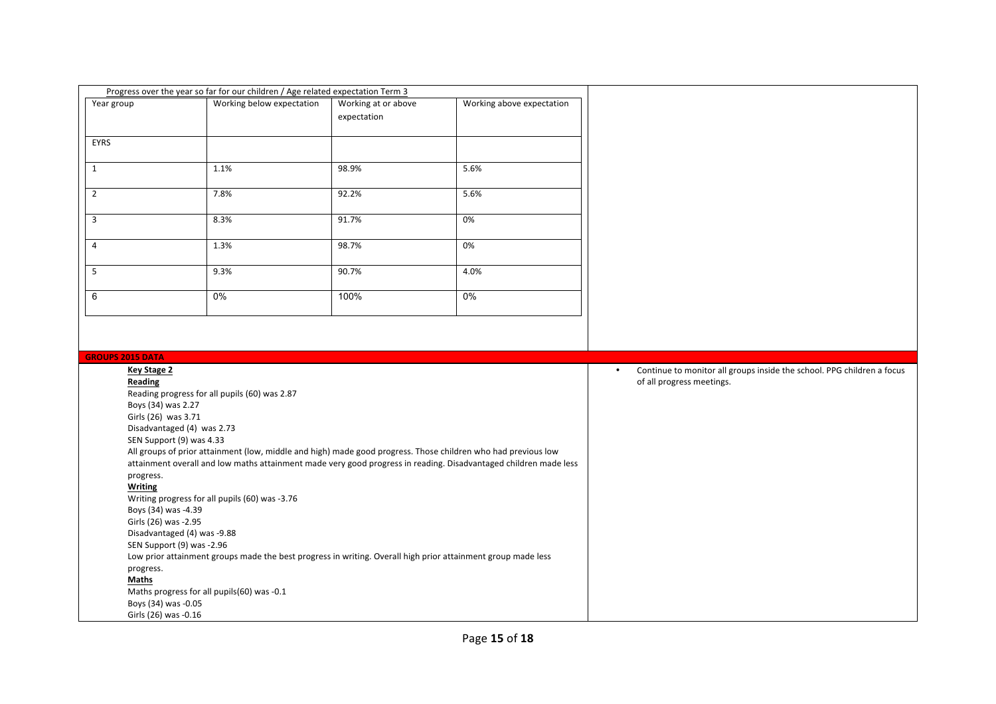|                                               | Progress over the year so far for our children / Age related expectation Term 3                                                           |                                    |                           |                                                                                     |
|-----------------------------------------------|-------------------------------------------------------------------------------------------------------------------------------------------|------------------------------------|---------------------------|-------------------------------------------------------------------------------------|
| Year group                                    | Working below expectation                                                                                                                 | Working at or above<br>expectation | Working above expectation |                                                                                     |
| EYRS                                          |                                                                                                                                           |                                    |                           |                                                                                     |
| $\mathbf{1}$                                  | 1.1%                                                                                                                                      | 98.9%                              | 5.6%                      |                                                                                     |
| $\overline{2}$                                | 7.8%                                                                                                                                      | 92.2%                              | 5.6%                      |                                                                                     |
| $\overline{3}$                                | 8.3%                                                                                                                                      | 91.7%                              | 0%                        |                                                                                     |
| $\overline{4}$                                | 1.3%                                                                                                                                      | 98.7%                              | 0%                        |                                                                                     |
| 5                                             | 9.3%                                                                                                                                      | 90.7%                              | 4.0%                      |                                                                                     |
| 6                                             | $0\%$                                                                                                                                     | 100%                               | $0\%$                     |                                                                                     |
| <b>GROUPS 2015 DATA</b><br><b>Key Stage 2</b> |                                                                                                                                           |                                    |                           | Continue to monitor all groups inside the school. PPG children a focus<br>$\bullet$ |
| Reading                                       |                                                                                                                                           |                                    |                           | of all progress meetings.                                                           |
| Boys (34) was 2.27                            | Reading progress for all pupils (60) was 2.87                                                                                             |                                    |                           |                                                                                     |
| Girls (26) was 3.71                           |                                                                                                                                           |                                    |                           |                                                                                     |
|                                               | Disadvantaged (4) was 2.73                                                                                                                |                                    |                           |                                                                                     |
|                                               | SEN Support (9) was 4.33<br>All groups of prior attainment (low, middle and high) made good progress. Those children who had previous low |                                    |                           |                                                                                     |
|                                               | attainment overall and low maths attainment made very good progress in reading. Disadvantaged children made less                          |                                    |                           |                                                                                     |
| progress.                                     |                                                                                                                                           |                                    |                           |                                                                                     |
| <b>Writing</b>                                | Writing progress for all pupils (60) was -3.76                                                                                            |                                    |                           |                                                                                     |
| Boys (34) was -4.39                           |                                                                                                                                           |                                    |                           |                                                                                     |
| Girls (26) was -2.95                          |                                                                                                                                           |                                    |                           |                                                                                     |
|                                               | Disadvantaged (4) was -9.88                                                                                                               |                                    |                           |                                                                                     |
|                                               | SEN Support (9) was -2.96                                                                                                                 |                                    |                           |                                                                                     |
| progress.                                     | Low prior attainment groups made the best progress in writing. Overall high prior attainment group made less                              |                                    |                           |                                                                                     |
| Maths                                         |                                                                                                                                           |                                    |                           |                                                                                     |
|                                               | Maths progress for all pupils(60) was -0.1                                                                                                |                                    |                           |                                                                                     |
| Boys (34) was -0.05                           |                                                                                                                                           |                                    |                           |                                                                                     |
| Girls (26) was -0.16                          |                                                                                                                                           |                                    |                           |                                                                                     |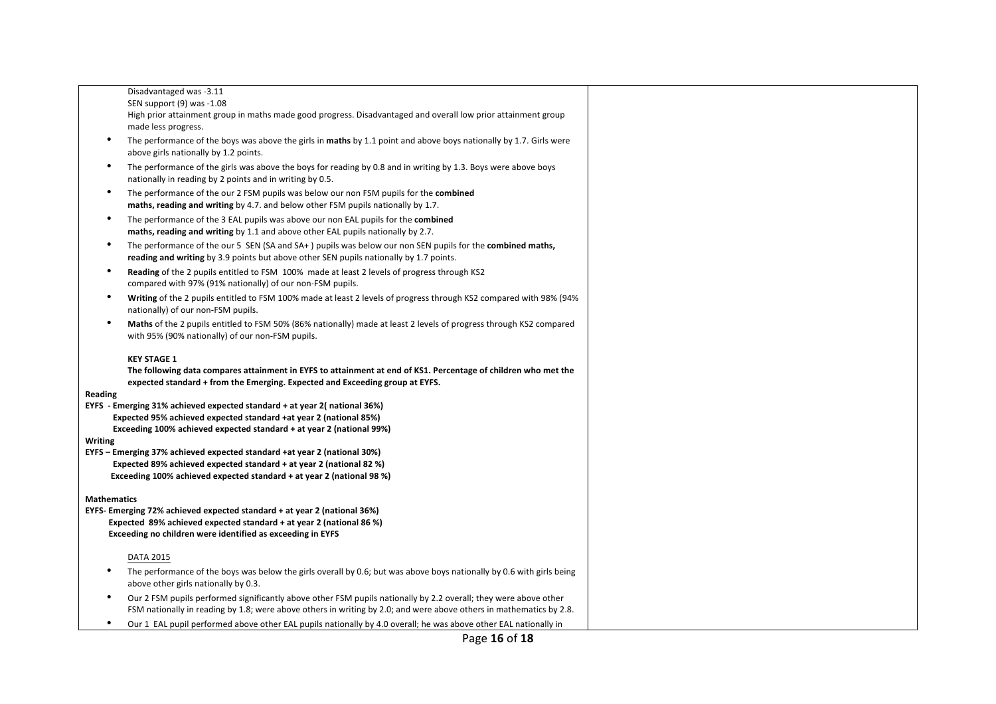|                    | Disadvantaged was -3.11                                                                                                                                                                                                                 |
|--------------------|-----------------------------------------------------------------------------------------------------------------------------------------------------------------------------------------------------------------------------------------|
|                    | SEN support (9) was -1.08                                                                                                                                                                                                               |
|                    | High prior attainment group in maths made good progress. Disadvantaged and overall low prior attainment group                                                                                                                           |
|                    | made less progress.                                                                                                                                                                                                                     |
| $\bullet$          | The performance of the boys was above the girls in maths by 1.1 point and above boys nationally by 1.7. Girls were<br>above girls nationally by 1.2 points.                                                                             |
| ٠                  | The performance of the girls was above the boys for reading by 0.8 and in writing by 1.3. Boys were above boys<br>nationally in reading by 2 points and in writing by 0.5.                                                              |
| $\bullet$          | The performance of the our 2 FSM pupils was below our non FSM pupils for the combined<br>maths, reading and writing by 4.7. and below other FSM pupils nationally by 1.7.                                                               |
|                    | The performance of the 3 EAL pupils was above our non EAL pupils for the combined<br>maths, reading and writing by 1.1 and above other EAL pupils nationally by 2.7.                                                                    |
| ٠                  | The performance of the our 5 SEN (SA and SA+) pupils was below our non SEN pupils for the <b>combined maths,</b><br>reading and writing by 3.9 points but above other SEN pupils nationally by 1.7 points.                              |
| $\bullet$          | Reading of the 2 pupils entitled to FSM 100% made at least 2 levels of progress through KS2<br>compared with 97% (91% nationally) of our non-FSM pupils.                                                                                |
| $\bullet$          | Writing of the 2 pupils entitled to FSM 100% made at least 2 levels of progress through KS2 compared with 98% (94%<br>nationally) of our non-FSM pupils.                                                                                |
| $\bullet$          | Maths of the 2 pupils entitled to FSM 50% (86% nationally) made at least 2 levels of progress through KS2 compared<br>with 95% (90% nationally) of our non-FSM pupils.                                                                  |
|                    |                                                                                                                                                                                                                                         |
|                    | <b>KEY STAGE 1</b><br>The following data compares attainment in EYFS to attainment at end of KS1. Percentage of children who met the<br>expected standard + from the Emerging. Expected and Exceeding group at EYFS.                    |
| Reading            |                                                                                                                                                                                                                                         |
|                    | EYFS - Emerging 31% achieved expected standard + at year 2(national 36%)                                                                                                                                                                |
|                    | Expected 95% achieved expected standard +at year 2 (national 85%)                                                                                                                                                                       |
|                    | Exceeding 100% achieved expected standard + at year 2 (national 99%)                                                                                                                                                                    |
| Writing            |                                                                                                                                                                                                                                         |
|                    | EYFS - Emerging 37% achieved expected standard +at year 2 (national 30%)                                                                                                                                                                |
|                    | Expected 89% achieved expected standard + at year 2 (national 82 %)                                                                                                                                                                     |
|                    | Exceeding 100% achieved expected standard + at year 2 (national 98 %)                                                                                                                                                                   |
|                    |                                                                                                                                                                                                                                         |
| <b>Mathematics</b> | EYFS- Emerging 72% achieved expected standard + at year 2 (national 36%)                                                                                                                                                                |
|                    | Expected 89% achieved expected standard + at year 2 (national 86 %)                                                                                                                                                                     |
|                    | Exceeding no children were identified as exceeding in EYFS                                                                                                                                                                              |
|                    | <b>DATA 2015</b>                                                                                                                                                                                                                        |
| ٠                  | The performance of the boys was below the girls overall by 0.6; but was above boys nationally by 0.6 with girls being<br>above other girls nationally by 0.3.                                                                           |
| ٠                  | Our 2 FSM pupils performed significantly above other FSM pupils nationally by 2.2 overall; they were above other<br>FSM nationally in reading by 1.8; were above others in writing by 2.0; and were above others in mathematics by 2.8. |
| $\bullet$          | Our 1 EAL pupil performed above other EAL pupils nationally by 4.0 overall; he was above other EAL nationally in                                                                                                                        |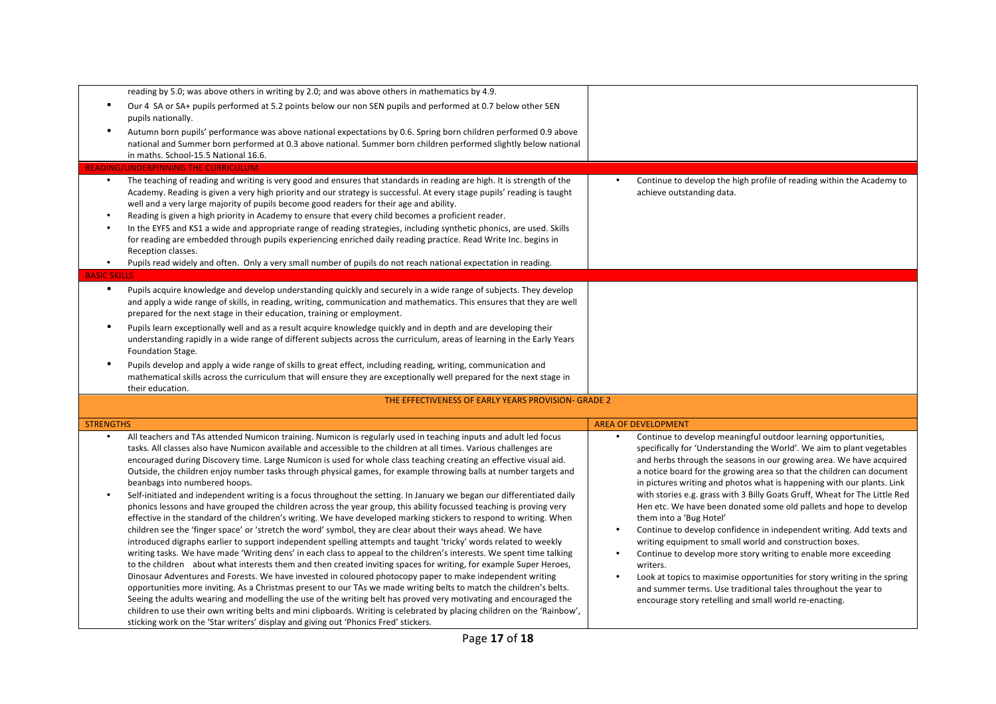|                        | reading by 5.0; was above others in writing by 2.0; and was above others in mathematics by 4.9.                                                                                                                                                                                                                                                                                                                                                                                                                                                                                                                                                                                                                                                                                                                                                                                                                                                                                                                                                                                                                                                                                                                                                                                                                                                                                                                                                                                                                                                                                                                                                                                                                                                                                                                                                                                                                                                          |                                                                                                                                                                                                                                                                                                                                                                                                                                                                                                                                                                                                                                                                                                                                                                                                                                                                                                                                                                                                        |
|------------------------|----------------------------------------------------------------------------------------------------------------------------------------------------------------------------------------------------------------------------------------------------------------------------------------------------------------------------------------------------------------------------------------------------------------------------------------------------------------------------------------------------------------------------------------------------------------------------------------------------------------------------------------------------------------------------------------------------------------------------------------------------------------------------------------------------------------------------------------------------------------------------------------------------------------------------------------------------------------------------------------------------------------------------------------------------------------------------------------------------------------------------------------------------------------------------------------------------------------------------------------------------------------------------------------------------------------------------------------------------------------------------------------------------------------------------------------------------------------------------------------------------------------------------------------------------------------------------------------------------------------------------------------------------------------------------------------------------------------------------------------------------------------------------------------------------------------------------------------------------------------------------------------------------------------------------------------------------------|--------------------------------------------------------------------------------------------------------------------------------------------------------------------------------------------------------------------------------------------------------------------------------------------------------------------------------------------------------------------------------------------------------------------------------------------------------------------------------------------------------------------------------------------------------------------------------------------------------------------------------------------------------------------------------------------------------------------------------------------------------------------------------------------------------------------------------------------------------------------------------------------------------------------------------------------------------------------------------------------------------|
| $\bullet$              | Our 4 SA or SA+ pupils performed at 5.2 points below our non SEN pupils and performed at 0.7 below other SEN<br>pupils nationally.                                                                                                                                                                                                                                                                                                                                                                                                                                                                                                                                                                                                                                                                                                                                                                                                                                                                                                                                                                                                                                                                                                                                                                                                                                                                                                                                                                                                                                                                                                                                                                                                                                                                                                                                                                                                                       |                                                                                                                                                                                                                                                                                                                                                                                                                                                                                                                                                                                                                                                                                                                                                                                                                                                                                                                                                                                                        |
|                        | Autumn born pupils' performance was above national expectations by 0.6. Spring born children performed 0.9 above<br>national and Summer born performed at 0.3 above national. Summer born children performed slightly below national                                                                                                                                                                                                                                                                                                                                                                                                                                                                                                                                                                                                                                                                                                                                                                                                                                                                                                                                                                                                                                                                                                                                                                                                                                                                                                                                                                                                                                                                                                                                                                                                                                                                                                                     |                                                                                                                                                                                                                                                                                                                                                                                                                                                                                                                                                                                                                                                                                                                                                                                                                                                                                                                                                                                                        |
|                        | in maths. School-15.5 National 16.6.                                                                                                                                                                                                                                                                                                                                                                                                                                                                                                                                                                                                                                                                                                                                                                                                                                                                                                                                                                                                                                                                                                                                                                                                                                                                                                                                                                                                                                                                                                                                                                                                                                                                                                                                                                                                                                                                                                                     |                                                                                                                                                                                                                                                                                                                                                                                                                                                                                                                                                                                                                                                                                                                                                                                                                                                                                                                                                                                                        |
|                        | READING/UNDERPINNING THE CURRICULUM                                                                                                                                                                                                                                                                                                                                                                                                                                                                                                                                                                                                                                                                                                                                                                                                                                                                                                                                                                                                                                                                                                                                                                                                                                                                                                                                                                                                                                                                                                                                                                                                                                                                                                                                                                                                                                                                                                                      |                                                                                                                                                                                                                                                                                                                                                                                                                                                                                                                                                                                                                                                                                                                                                                                                                                                                                                                                                                                                        |
| $\bullet$<br>$\bullet$ | The teaching of reading and writing is very good and ensures that standards in reading are high. It is strength of the<br>Academy. Reading is given a very high priority and our strategy is successful. At every stage pupils' reading is taught<br>well and a very large majority of pupils become good readers for their age and ability.<br>Reading is given a high priority in Academy to ensure that every child becomes a proficient reader.<br>In the EYFS and KS1 a wide and appropriate range of reading strategies, including synthetic phonics, are used. Skills<br>for reading are embedded through pupils experiencing enriched daily reading practice. Read Write Inc. begins in<br>Reception classes.                                                                                                                                                                                                                                                                                                                                                                                                                                                                                                                                                                                                                                                                                                                                                                                                                                                                                                                                                                                                                                                                                                                                                                                                                                    | Continue to develop the high profile of reading within the Academy to<br>achieve outstanding data.                                                                                                                                                                                                                                                                                                                                                                                                                                                                                                                                                                                                                                                                                                                                                                                                                                                                                                     |
| $\bullet$              | Pupils read widely and often. Only a very small number of pupils do not reach national expectation in reading.                                                                                                                                                                                                                                                                                                                                                                                                                                                                                                                                                                                                                                                                                                                                                                                                                                                                                                                                                                                                                                                                                                                                                                                                                                                                                                                                                                                                                                                                                                                                                                                                                                                                                                                                                                                                                                           |                                                                                                                                                                                                                                                                                                                                                                                                                                                                                                                                                                                                                                                                                                                                                                                                                                                                                                                                                                                                        |
| <b>BASIC SKILLS</b>    |                                                                                                                                                                                                                                                                                                                                                                                                                                                                                                                                                                                                                                                                                                                                                                                                                                                                                                                                                                                                                                                                                                                                                                                                                                                                                                                                                                                                                                                                                                                                                                                                                                                                                                                                                                                                                                                                                                                                                          |                                                                                                                                                                                                                                                                                                                                                                                                                                                                                                                                                                                                                                                                                                                                                                                                                                                                                                                                                                                                        |
| $\bullet$              | Pupils acquire knowledge and develop understanding quickly and securely in a wide range of subjects. They develop<br>and apply a wide range of skills, in reading, writing, communication and mathematics. This ensures that they are well<br>prepared for the next stage in their education, training or employment.                                                                                                                                                                                                                                                                                                                                                                                                                                                                                                                                                                                                                                                                                                                                                                                                                                                                                                                                                                                                                                                                                                                                                                                                                                                                                                                                                                                                                                                                                                                                                                                                                                    |                                                                                                                                                                                                                                                                                                                                                                                                                                                                                                                                                                                                                                                                                                                                                                                                                                                                                                                                                                                                        |
| $\bullet$              | Pupils learn exceptionally well and as a result acquire knowledge quickly and in depth and are developing their<br>understanding rapidly in a wide range of different subjects across the curriculum, areas of learning in the Early Years<br>Foundation Stage.                                                                                                                                                                                                                                                                                                                                                                                                                                                                                                                                                                                                                                                                                                                                                                                                                                                                                                                                                                                                                                                                                                                                                                                                                                                                                                                                                                                                                                                                                                                                                                                                                                                                                          |                                                                                                                                                                                                                                                                                                                                                                                                                                                                                                                                                                                                                                                                                                                                                                                                                                                                                                                                                                                                        |
|                        | Pupils develop and apply a wide range of skills to great effect, including reading, writing, communication and<br>mathematical skills across the curriculum that will ensure they are exceptionally well prepared for the next stage in<br>their education.                                                                                                                                                                                                                                                                                                                                                                                                                                                                                                                                                                                                                                                                                                                                                                                                                                                                                                                                                                                                                                                                                                                                                                                                                                                                                                                                                                                                                                                                                                                                                                                                                                                                                              |                                                                                                                                                                                                                                                                                                                                                                                                                                                                                                                                                                                                                                                                                                                                                                                                                                                                                                                                                                                                        |
|                        | THE EFFECTIVENESS OF EARLY YEARS PROVISION- GRADE 2                                                                                                                                                                                                                                                                                                                                                                                                                                                                                                                                                                                                                                                                                                                                                                                                                                                                                                                                                                                                                                                                                                                                                                                                                                                                                                                                                                                                                                                                                                                                                                                                                                                                                                                                                                                                                                                                                                      |                                                                                                                                                                                                                                                                                                                                                                                                                                                                                                                                                                                                                                                                                                                                                                                                                                                                                                                                                                                                        |
| <b>STRENGTHS</b>       |                                                                                                                                                                                                                                                                                                                                                                                                                                                                                                                                                                                                                                                                                                                                                                                                                                                                                                                                                                                                                                                                                                                                                                                                                                                                                                                                                                                                                                                                                                                                                                                                                                                                                                                                                                                                                                                                                                                                                          | <b>AREA OF DEVELOPMENT</b>                                                                                                                                                                                                                                                                                                                                                                                                                                                                                                                                                                                                                                                                                                                                                                                                                                                                                                                                                                             |
| $\bullet$              | All teachers and TAs attended Numicon training. Numicon is regularly used in teaching inputs and adult led focus<br>tasks. All classes also have Numicon available and accessible to the children at all times. Various challenges are<br>encouraged during Discovery time. Large Numicon is used for whole class teaching creating an effective visual aid.<br>Outside, the children enjoy number tasks through physical games, for example throwing balls at number targets and<br>beanbags into numbered hoops.<br>Self-initiated and independent writing is a focus throughout the setting. In January we began our differentiated daily<br>phonics lessons and have grouped the children across the year group, this ability focussed teaching is proving very<br>effective in the standard of the children's writing. We have developed marking stickers to respond to writing. When<br>children see the 'finger space' or 'stretch the word' symbol, they are clear about their ways ahead. We have<br>introduced digraphs earlier to support independent spelling attempts and taught 'tricky' words related to weekly<br>writing tasks. We have made 'Writing dens' in each class to appeal to the children's interests. We spent time talking<br>to the children about what interests them and then created inviting spaces for writing, for example Super Heroes,<br>Dinosaur Adventures and Forests. We have invested in coloured photocopy paper to make independent writing<br>opportunities more inviting. As a Christmas present to our TAs we made writing belts to match the children's belts.<br>Seeing the adults wearing and modelling the use of the writing belt has proved very motivating and encouraged the<br>children to use their own writing belts and mini clipboards. Writing is celebrated by placing children on the 'Rainbow',<br>sticking work on the 'Star writers' display and giving out 'Phonics Fred' stickers. | Continue to develop meaningful outdoor learning opportunities,<br>$\bullet$<br>specifically for 'Understanding the World'. We aim to plant vegetables<br>and herbs through the seasons in our growing area. We have acquired<br>a notice board for the growing area so that the children can document<br>in pictures writing and photos what is happening with our plants. Link<br>with stories e.g. grass with 3 Billy Goats Gruff, Wheat for The Little Red<br>Hen etc. We have been donated some old pallets and hope to develop<br>them into a 'Bug Hotel'<br>Continue to develop confidence in independent writing. Add texts and<br>$\bullet$<br>writing equipment to small world and construction boxes.<br>Continue to develop more story writing to enable more exceeding<br>writers.<br>Look at topics to maximise opportunities for story writing in the spring<br>and summer terms. Use traditional tales throughout the year to<br>encourage story retelling and small world re-enacting. |